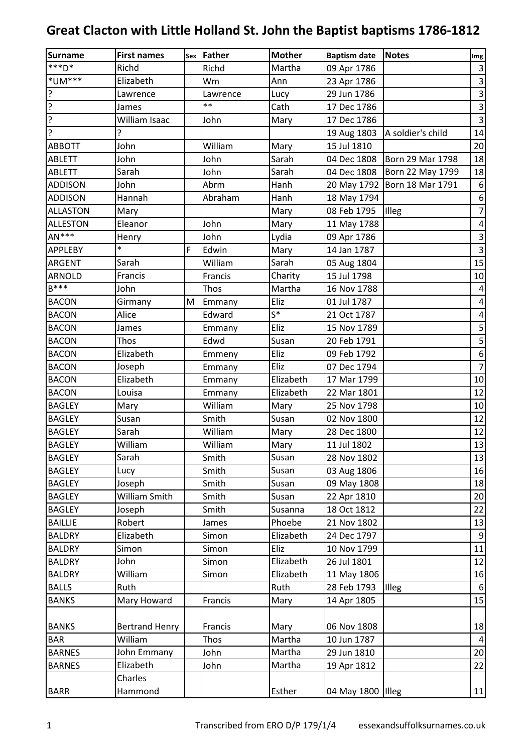| <b>Surname</b>  | <b>First names</b>    | Sex | <b>Father</b> | <b>Mother</b>  | <b>Baptism date</b> | <b>Notes</b>            | Img                       |
|-----------------|-----------------------|-----|---------------|----------------|---------------------|-------------------------|---------------------------|
| $***D*$         | Richd                 |     | Richd         | Martha         | 09 Apr 1786         |                         | $\ensuremath{\mathsf{3}}$ |
| *UM***          | Elizabeth             |     | Wm            | Ann            | 23 Apr 1786         |                         | $\overline{\mathbf{3}}$   |
| ŗ               | Lawrence              |     | Lawrence      | Lucy           | 29 Jun 1786         |                         | $\overline{\mathbf{3}}$   |
| ?               | James                 |     | $***$         | Cath           | 17 Dec 1786         |                         | $\mathsf 3$               |
| ?               | William Isaac         |     | John          | Mary           | 17 Dec 1786         |                         | $\overline{3}$            |
| ?               | ?                     |     |               |                | 19 Aug 1803         | A soldier's child       | 14                        |
| <b>ABBOTT</b>   | John                  |     | William       | Mary           | 15 Jul 1810         |                         | 20                        |
| <b>ABLETT</b>   | John                  |     | John          | Sarah          | 04 Dec 1808         | Born 29 Mar 1798        | 18                        |
| <b>ABLETT</b>   | Sarah                 |     | John          | Sarah          | 04 Dec 1808         | Born 22 May 1799        | 18                        |
| <b>ADDISON</b>  | John                  |     | Abrm          | Hanh           | 20 May 1792         | <b>Born 18 Mar 1791</b> | $\boldsymbol{6}$          |
| <b>ADDISON</b>  | Hannah                |     | Abraham       | Hanh           | 18 May 1794         |                         | $\boldsymbol{6}$          |
| <b>ALLASTON</b> | Mary                  |     |               | Mary           | 08 Feb 1795         | Illeg                   | $\overline{7}$            |
| <b>ALLESTON</b> | Eleanor               |     | John          | Mary           | 11 May 1788         |                         | 4                         |
| AN***           | Henry                 |     | John          | Lydia          | 09 Apr 1786         |                         | $\overline{3}$            |
| <b>APPLEBY</b>  | $\ast$                | F   | Edwin         | Mary           | 14 Jan 1787         |                         | $\overline{\mathbf{3}}$   |
| <b>ARGENT</b>   | Sarah                 |     | William       | Sarah          | 05 Aug 1804         |                         | 15                        |
| <b>ARNOLD</b>   | <b>Francis</b>        |     | Francis       | Charity        | 15 Jul 1798         |                         | 10                        |
| $B***$          | John                  |     | Thos          | Martha         | 16 Nov 1788         |                         | $\sqrt{4}$                |
| <b>BACON</b>    | Girmany               | M   | Emmany        | Eliz           | 01 Jul 1787         |                         | $\overline{a}$            |
| <b>BACON</b>    | Alice                 |     | Edward        | $\mathsf{S}^*$ | 21 Oct 1787         |                         | $\overline{a}$            |
| <b>BACON</b>    | James                 |     | Emmany        | Eliz           | 15 Nov 1789         |                         | 5                         |
| <b>BACON</b>    | Thos                  |     | Edwd          | Susan          | 20 Feb 1791         |                         | 5                         |
| <b>BACON</b>    | Elizabeth             |     | Emmeny        | Eliz           | 09 Feb 1792         |                         | $\boldsymbol{6}$          |
| <b>BACON</b>    | Joseph                |     | Emmany        | Eliz           | 07 Dec 1794         |                         | $\overline{7}$            |
| <b>BACON</b>    | Elizabeth             |     | Emmany        | Elizabeth      | 17 Mar 1799         |                         | 10                        |
| <b>BACON</b>    | Louisa                |     | Emmany        | Elizabeth      | 22 Mar 1801         |                         | 12                        |
| <b>BAGLEY</b>   | Mary                  |     | William       | Mary           | 25 Nov 1798         |                         | 10                        |
| <b>BAGLEY</b>   | Susan                 |     | Smith         | Susan          | 02 Nov 1800         |                         | 12                        |
| <b>BAGLEY</b>   | Sarah                 |     | William       | Mary           | 28 Dec 1800         |                         | 12                        |
| <b>BAGLEY</b>   | William               |     | William       | Mary           | 11 Jul 1802         |                         | 13                        |
| <b>BAGLEY</b>   | Sarah                 |     | Smith         | Susan          | 28 Nov 1802         |                         | 13                        |
| <b>BAGLEY</b>   | Lucy                  |     | Smith         | Susan          | 03 Aug 1806         |                         | 16                        |
| <b>BAGLEY</b>   | Joseph                |     | Smith         | Susan          | 09 May 1808         |                         | 18                        |
| <b>BAGLEY</b>   | William Smith         |     | Smith         | Susan          | 22 Apr 1810         |                         | 20                        |
| <b>BAGLEY</b>   | Joseph                |     | Smith         | Susanna        | 18 Oct 1812         |                         | 22                        |
| <b>BAILLIE</b>  | Robert                |     | James         | Phoebe         | 21 Nov 1802         |                         | 13                        |
| <b>BALDRY</b>   | Elizabeth             |     | Simon         | Elizabeth      | 24 Dec 1797         |                         | $9\,$                     |
| <b>BALDRY</b>   | Simon                 |     | Simon         | Eliz           | 10 Nov 1799         |                         | 11                        |
| <b>BALDRY</b>   | John                  |     | Simon         | Elizabeth      | 26 Jul 1801         |                         | 12                        |
| <b>BALDRY</b>   | William               |     | Simon         | Elizabeth      | 11 May 1806         |                         | 16                        |
| <b>BALLS</b>    | Ruth                  |     |               | Ruth           | 28 Feb 1793         | Illeg                   | $6\phantom{1}6$           |
| <b>BANKS</b>    | Mary Howard           |     | Francis       | Mary           | 14 Apr 1805         |                         | 15                        |
|                 |                       |     |               |                |                     |                         |                           |
| <b>BANKS</b>    | <b>Bertrand Henry</b> |     | Francis       | Mary           | 06 Nov 1808         |                         | 18                        |
| <b>BAR</b>      | William               |     | Thos          | Martha         | 10 Jun 1787         |                         | $\overline{a}$            |
| <b>BARNES</b>   | John Emmany           |     | John          | Martha         | 29 Jun 1810         |                         | 20                        |
| <b>BARNES</b>   | Elizabeth             |     | John          | Martha         | 19 Apr 1812         |                         | 22                        |
|                 | Charles               |     |               |                |                     |                         |                           |
| <b>BARR</b>     | Hammond               |     |               | Esther         | 04 May 1800 Illeg   |                         | $11\,$                    |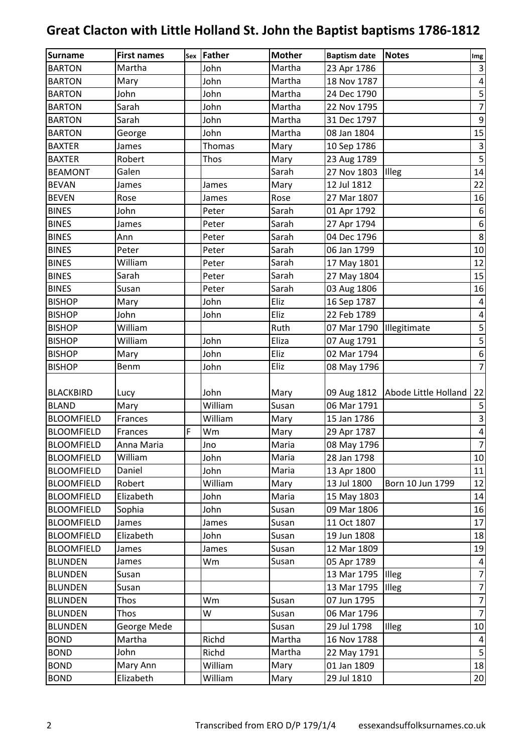| <b>Surname</b>    | <b>First names</b> | Sex | Father  | <b>Mother</b> | <b>Baptism date</b> | <b>Notes</b>                     | Im <sub>g</sub>          |
|-------------------|--------------------|-----|---------|---------------|---------------------|----------------------------------|--------------------------|
| <b>BARTON</b>     | Martha             |     | John    | Martha        | 23 Apr 1786         |                                  | $\mathbf{3}$             |
| <b>BARTON</b>     | Mary               |     | John    | Martha        | 18 Nov 1787         |                                  | $\overline{\mathbf{4}}$  |
| <b>BARTON</b>     | John               |     | John    | Martha        | 24 Dec 1790         |                                  | 5                        |
| <b>BARTON</b>     | Sarah              |     | John    | Martha        | 22 Nov 1795         |                                  | $\overline{7}$           |
| <b>BARTON</b>     | Sarah              |     | John    | Martha        | 31 Dec 1797         |                                  | $\boldsymbol{9}$         |
| <b>BARTON</b>     | George             |     | John    | Martha        | 08 Jan 1804         |                                  | 15                       |
| <b>BAXTER</b>     | James              |     | Thomas  | Mary          | 10 Sep 1786         |                                  | $\mathbf{3}$             |
| <b>BAXTER</b>     | Robert             |     | Thos    | Mary          | 23 Aug 1789         |                                  | 5                        |
| <b>BEAMONT</b>    | Galen              |     |         | Sarah         | 27 Nov 1803         | Illeg                            | 14                       |
| <b>BEVAN</b>      | James              |     | James   | Mary          | 12 Jul 1812         |                                  | 22                       |
| <b>BEVEN</b>      | Rose               |     | James   | Rose          | 27 Mar 1807         |                                  | 16                       |
| <b>BINES</b>      | John               |     | Peter   | Sarah         | 01 Apr 1792         |                                  | $\boldsymbol{6}$         |
| <b>BINES</b>      | James              |     | Peter   | Sarah         | 27 Apr 1794         |                                  | $\boldsymbol{6}$         |
| <b>BINES</b>      | Ann                |     | Peter   | Sarah         | 04 Dec 1796         |                                  | $\,8\,$                  |
| <b>BINES</b>      | Peter              |     | Peter   | Sarah         | 06 Jan 1799         |                                  | 10                       |
| <b>BINES</b>      | William            |     | Peter   | Sarah         | 17 May 1801         |                                  | 12                       |
| <b>BINES</b>      | Sarah              |     | Peter   | Sarah         | 27 May 1804         |                                  | 15                       |
| <b>BINES</b>      | Susan              |     | Peter   | Sarah         | 03 Aug 1806         |                                  | 16                       |
| <b>BISHOP</b>     | Mary               |     | John    | Eliz          | 16 Sep 1787         |                                  | $\pmb{4}$                |
| <b>BISHOP</b>     | John               |     | John    | Eliz          | 22 Feb 1789         |                                  | 4                        |
| <b>BISHOP</b>     | William            |     |         | Ruth          | 07 Mar 1790         | Illegitimate                     | 5                        |
| <b>BISHOP</b>     | William            |     | John    | Eliza         | 07 Aug 1791         |                                  | 5                        |
| <b>BISHOP</b>     | Mary               |     | John    | Eliz          | 02 Mar 1794         |                                  | $\boldsymbol{6}$         |
| <b>BISHOP</b>     | Benm               |     | John    | Eliz          | 08 May 1796         |                                  | $\overline{7}$           |
| <b>BLACKBIRD</b>  | Lucy               |     | John    | Mary          |                     | 09 Aug 1812 Abode Little Holland | 22                       |
| <b>BLAND</b>      | Mary               |     | William | Susan         | 06 Mar 1791         |                                  | $\mathsf S$              |
| <b>BLOOMFIELD</b> | Frances            |     | William | Mary          | 15 Jan 1786         |                                  | $\overline{\mathbf{3}}$  |
| <b>BLOOMFIELD</b> | Frances            | F   | Wm      | Mary          | 29 Apr 1787         |                                  | $\pmb{4}$                |
| <b>BLOOMFIELD</b> | Anna Maria         |     | Jno     | Maria         | 08 May 1796         |                                  | $\overline{7}$           |
| <b>BLOOMFIELD</b> | William            |     | John    | Maria         | 28 Jan 1798         |                                  | 10                       |
| <b>BLOOMFIELD</b> | Daniel             |     | John    | Maria         | 13 Apr 1800         |                                  | 11                       |
| <b>BLOOMFIELD</b> | Robert             |     | William | Mary          | 13 Jul 1800         | Born 10 Jun 1799                 | 12                       |
| <b>BLOOMFIELD</b> | Elizabeth          |     | John    | Maria         | 15 May 1803         |                                  | 14                       |
| <b>BLOOMFIELD</b> | Sophia             |     | John    | Susan         | 09 Mar 1806         |                                  | 16                       |
| <b>BLOOMFIELD</b> | James              |     | James   | Susan         | 11 Oct 1807         |                                  | 17                       |
| <b>BLOOMFIELD</b> | Elizabeth          |     | John    | Susan         | 19 Jun 1808         |                                  | 18                       |
| <b>BLOOMFIELD</b> | James              |     | James   | Susan         | 12 Mar 1809         |                                  | 19                       |
| <b>BLUNDEN</b>    | James              |     | Wm      | Susan         | 05 Apr 1789         |                                  | 4                        |
| <b>BLUNDEN</b>    | Susan              |     |         |               | 13 Mar 1795         | Illeg                            | $\boldsymbol{7}$         |
| <b>BLUNDEN</b>    | Susan              |     |         |               | 13 Mar 1795         | Illeg                            | $\overline{\mathcal{I}}$ |
| <b>BLUNDEN</b>    | Thos               |     | Wm      | Susan         | 07 Jun 1795         |                                  | $\overline{\mathbf{7}}$  |
| <b>BLUNDEN</b>    | Thos               |     | W       | Susan         | 06 Mar 1796         |                                  | $\overline{7}$           |
| <b>BLUNDEN</b>    | George Mede        |     |         | Susan         | 29 Jul 1798         | Illeg                            | 10                       |
| <b>BOND</b>       | Martha             |     | Richd   | Martha        | 16 Nov 1788         |                                  | $\sqrt{4}$               |
| <b>BOND</b>       | John               |     | Richd   | Martha        | 22 May 1791         |                                  | $\mathsf S$              |
| <b>BOND</b>       | Mary Ann           |     | William | Mary          | 01 Jan 1809         |                                  | 18                       |
| <b>BOND</b>       | Elizabeth          |     | William | Mary          | 29 Jul 1810         |                                  | 20                       |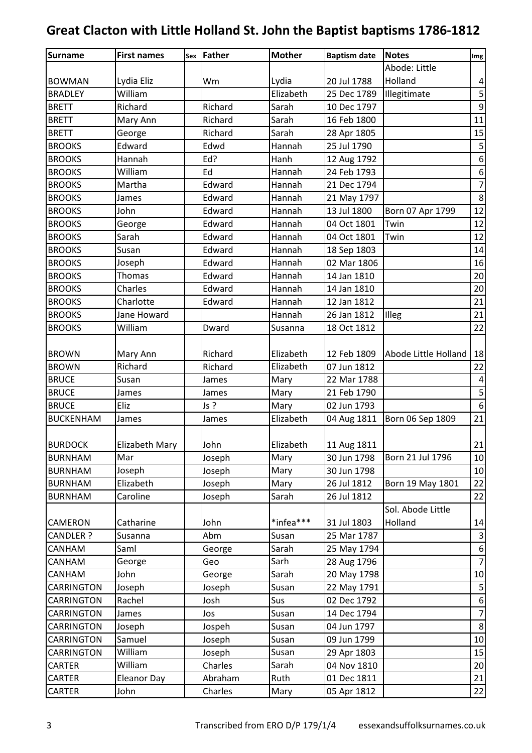| <b>Surname</b>    | <b>First names</b> | Sex | Father  | <b>Mother</b> | <b>Baptism date</b> | <b>Notes</b>         | Img              |
|-------------------|--------------------|-----|---------|---------------|---------------------|----------------------|------------------|
|                   |                    |     |         |               |                     | Abode: Little        |                  |
| <b>BOWMAN</b>     | Lydia Eliz         |     | Wm      | Lydia         | 20 Jul 1788         | Holland              | 4                |
| <b>BRADLEY</b>    | William            |     |         | Elizabeth     | 25 Dec 1789         | Illegitimate         | 5                |
| <b>BRETT</b>      | Richard            |     | Richard | Sarah         | 10 Dec 1797         |                      | $\boldsymbol{9}$ |
| <b>BRETT</b>      | Mary Ann           |     | Richard | Sarah         | 16 Feb 1800         |                      | 11               |
| <b>BRETT</b>      | George             |     | Richard | Sarah         | 28 Apr 1805         |                      | 15               |
| <b>BROOKS</b>     | Edward             |     | Edwd    | Hannah        | 25 Jul 1790         |                      | 5                |
| <b>BROOKS</b>     | Hannah             |     | Ed?     | Hanh          | 12 Aug 1792         |                      | $\boldsymbol{6}$ |
| <b>BROOKS</b>     | William            |     | Ed      | Hannah        | 24 Feb 1793         |                      | $\boldsymbol{6}$ |
| <b>BROOKS</b>     | Martha             |     | Edward  | Hannah        | 21 Dec 1794         |                      | $\overline{7}$   |
| <b>BROOKS</b>     | James              |     | Edward  | Hannah        | 21 May 1797         |                      | $\,8\,$          |
| <b>BROOKS</b>     | John               |     | Edward  | Hannah        | 13 Jul 1800         | Born 07 Apr 1799     | 12               |
| <b>BROOKS</b>     | George             |     | Edward  | Hannah        | 04 Oct 1801         | Twin                 | 12               |
| <b>BROOKS</b>     | Sarah              |     | Edward  | Hannah        | 04 Oct 1801         | Twin                 | 12               |
| <b>BROOKS</b>     | Susan              |     | Edward  | Hannah        | 18 Sep 1803         |                      | 14               |
| <b>BROOKS</b>     | Joseph             |     | Edward  | Hannah        | 02 Mar 1806         |                      | 16               |
| <b>BROOKS</b>     | <b>Thomas</b>      |     | Edward  | Hannah        | 14 Jan 1810         |                      | 20               |
| <b>BROOKS</b>     | Charles            |     | Edward  | Hannah        | 14 Jan 1810         |                      | 20               |
| <b>BROOKS</b>     | Charlotte          |     | Edward  | Hannah        | 12 Jan 1812         |                      | 21               |
| <b>BROOKS</b>     | Jane Howard        |     |         | Hannah        | 26 Jan 1812         | Illeg                | 21               |
| <b>BROOKS</b>     | William            |     | Dward   | Susanna       | 18 Oct 1812         |                      | 22               |
|                   |                    |     |         |               |                     |                      |                  |
| <b>BROWN</b>      | Mary Ann           |     | Richard | Elizabeth     | 12 Feb 1809         | Abode Little Holland | 18               |
| <b>BROWN</b>      | Richard            |     | Richard | Elizabeth     | 07 Jun 1812         |                      | 22               |
| <b>BRUCE</b>      | Susan              |     | James   | Mary          | 22 Mar 1788         |                      | $\overline{4}$   |
| <b>BRUCE</b>      | James              |     | James   | Mary          | 21 Feb 1790         |                      | $\mathsf S$      |
| <b>BRUCE</b>      | Eliz               |     | Js ?    | Mary          | 02 Jun 1793         |                      | $\boldsymbol{6}$ |
| <b>BUCKENHAM</b>  | James              |     | James   | Elizabeth     | 04 Aug 1811         | Born 06 Sep 1809     | 21               |
|                   |                    |     |         |               |                     |                      |                  |
| <b>BURDOCK</b>    | Elizabeth Mary     |     | John    | Elizabeth     | 11 Aug 1811         |                      | 21               |
| <b>BURNHAM</b>    | Mar                |     | Joseph  | Mary          | 30 Jun 1798         | Born 21 Jul 1796     | 10               |
| <b>BURNHAM</b>    | Joseph             |     | Joseph  | Mary          | 30 Jun 1798         |                      | 10               |
| <b>BURNHAM</b>    | Elizabeth          |     | Joseph  | Mary          | 26 Jul 1812         | Born 19 May 1801     | 22               |
| <b>BURNHAM</b>    | Caroline           |     | Joseph  | Sarah         | 26 Jul 1812         |                      | 22               |
|                   |                    |     |         |               |                     | Sol. Abode Little    |                  |
| <b>CAMERON</b>    | Catharine          |     | John    | *infea***     | 31 Jul 1803         | Holland              | 14               |
| CANDLER ?         | Susanna            |     | Abm     | Susan         | 25 Mar 1787         |                      | $\mathbf{3}$     |
| <b>CANHAM</b>     | Saml               |     | George  | Sarah         | 25 May 1794         |                      | $\boldsymbol{6}$ |
| CANHAM            | George             |     | Geo     | Sarh          | 28 Aug 1796         |                      | $\overline{7}$   |
| CANHAM            | John               |     | George  | Sarah         | 20 May 1798         |                      | $10\,$           |
| <b>CARRINGTON</b> | Joseph             |     | Joseph  | Susan         | 22 May 1791         |                      | $\mathsf S$      |
| <b>CARRINGTON</b> | Rachel             |     | Josh    | Sus           | 02 Dec 1792         |                      | $\boldsymbol{6}$ |
| <b>CARRINGTON</b> | James              |     | Jos     | Susan         | 14 Dec 1794         |                      | $\overline{7}$   |
| <b>CARRINGTON</b> | Joseph             |     | Jospeh  | Susan         | 04 Jun 1797         |                      | $\,8\,$          |
| CARRINGTON        | Samuel             |     | Joseph  | Susan         | 09 Jun 1799         |                      | 10               |
| <b>CARRINGTON</b> | William            |     | Joseph  | Susan         | 29 Apr 1803         |                      | 15               |
| CARTER            | William            |     | Charles | Sarah         | 04 Nov 1810         |                      | 20               |
| <b>CARTER</b>     | Eleanor Day        |     | Abraham | Ruth          | 01 Dec 1811         |                      | 21               |
| <b>CARTER</b>     | John               |     | Charles | Mary          | 05 Apr 1812         |                      | 22               |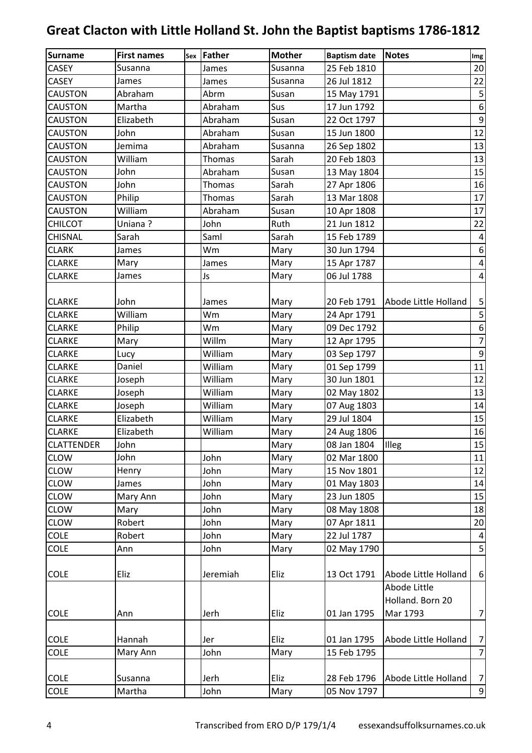| <b>Surname</b>    | <b>First names</b> | Sex | Father      | <b>Mother</b> | <b>Baptism date</b> | <b>Notes</b>         | Img              |
|-------------------|--------------------|-----|-------------|---------------|---------------------|----------------------|------------------|
| <b>CASEY</b>      | Susanna            |     | James       | Susanna       | 25 Feb 1810         |                      | 20               |
| <b>CASEY</b>      | James              |     | James       | Susanna       | 26 Jul 1812         |                      | 22               |
| <b>CAUSTON</b>    | Abraham            |     | Abrm        | Susan         | 15 May 1791         |                      | $\mathsf S$      |
| <b>CAUSTON</b>    | Martha             |     | Abraham     | Sus           | 17 Jun 1792         |                      | $\boldsymbol{6}$ |
| <b>CAUSTON</b>    | Elizabeth          |     | Abraham     | Susan         | 22 Oct 1797         |                      | $\boldsymbol{9}$ |
| <b>CAUSTON</b>    | John               |     | Abraham     | Susan         | 15 Jun 1800         |                      | 12               |
| <b>CAUSTON</b>    | Jemima             |     | Abraham     | Susanna       | 26 Sep 1802         |                      | 13               |
| <b>CAUSTON</b>    | William            |     | Thomas      | Sarah         | 20 Feb 1803         |                      | 13               |
| <b>CAUSTON</b>    | John               |     | Abraham     | Susan         | 13 May 1804         |                      | 15               |
| <b>CAUSTON</b>    | John               |     | Thomas      | Sarah         | 27 Apr 1806         |                      | 16               |
| <b>CAUSTON</b>    | Philip             |     | Thomas      | Sarah         | 13 Mar 1808         |                      | 17               |
| <b>CAUSTON</b>    | William            |     | Abraham     | Susan         | 10 Apr 1808         |                      | 17               |
| <b>CHILCOT</b>    | Uniana?            |     | John        | Ruth          | 21 Jun 1812         |                      | 22               |
| <b>CHISNAL</b>    | Sarah              |     | Saml        | Sarah         | 15 Feb 1789         |                      | $\pmb{4}$        |
| <b>CLARK</b>      | James              |     | Wm          | Mary          | 30 Jun 1794         |                      | $\boldsymbol{6}$ |
| <b>CLARKE</b>     | Mary               |     | James       | Mary          | 15 Apr 1787         |                      | $\overline{4}$   |
| <b>CLARKE</b>     | James              |     | Js          | Mary          | 06 Jul 1788         |                      | $\overline{4}$   |
|                   |                    |     |             |               |                     |                      |                  |
| <b>CLARKE</b>     | John               |     | James       | Mary          | 20 Feb 1791         | Abode Little Holland | 5                |
| <b>CLARKE</b>     | William            |     | Wm          | Mary          | 24 Apr 1791         |                      | 5                |
| <b>CLARKE</b>     | Philip             |     | Wm          | Mary          | 09 Dec 1792         |                      | $\boldsymbol{6}$ |
| <b>CLARKE</b>     | Mary               |     | Willm       | Mary          | 12 Apr 1795         |                      | $\overline{7}$   |
| <b>CLARKE</b>     | Lucy               |     | William     | Mary          | 03 Sep 1797         |                      | 9                |
| <b>CLARKE</b>     | Daniel             |     | William     | Mary          | 01 Sep 1799         |                      | 11               |
| <b>CLARKE</b>     | Joseph             |     | William     | Mary          | 30 Jun 1801         |                      | 12               |
| <b>CLARKE</b>     | Joseph             |     | William     | Mary          | 02 May 1802         |                      | 13               |
| <b>CLARKE</b>     | Joseph             |     | William     | Mary          | 07 Aug 1803         |                      | 14               |
| <b>CLARKE</b>     | Elizabeth          |     | William     | Mary          | 29 Jul 1804         |                      | 15               |
| <b>CLARKE</b>     | Elizabeth          |     | William     | Mary          | 24 Aug 1806         |                      | 16               |
| <b>CLATTENDER</b> | John               |     |             | Mary          | 08 Jan 1804   Illeg |                      | 15               |
| <b>CLOW</b>       | John               |     | John        | Mary          | 02 Mar 1800         |                      | 11               |
| <b>CLOW</b>       | Henry              |     | John        | Mary          | 15 Nov 1801         |                      | 12               |
| <b>CLOW</b>       | James              |     | John        | Mary          | 01 May 1803         |                      | 14               |
| <b>CLOW</b>       | Mary Ann           |     | John        | Mary          | 23 Jun 1805         |                      | 15               |
| <b>CLOW</b>       | Mary               |     | John        | Mary          | 08 May 1808         |                      | 18               |
| <b>CLOW</b>       | Robert             |     | John        | Mary          | 07 Apr 1811         |                      | 20               |
| <b>COLE</b>       | Robert             |     | John        | Mary          | 22 Jul 1787         |                      | $\pmb{4}$        |
| COLE              | Ann                |     | John        | Mary          | 02 May 1790         |                      | 5                |
|                   |                    |     |             |               |                     |                      |                  |
| <b>COLE</b>       | Eliz               |     | Jeremiah    | Eliz          | 13 Oct 1791         | Abode Little Holland | $\boldsymbol{6}$ |
|                   |                    |     |             |               |                     | Abode Little         |                  |
|                   |                    |     |             |               |                     | Holland. Born 20     |                  |
| <b>COLE</b>       | Ann                |     | Jerh        | Eliz          | 01 Jan 1795         | Mar 1793             | $\boldsymbol{7}$ |
| <b>COLE</b>       | Hannah             |     |             | Eliz          | 01 Jan 1795         | Abode Little Holland | 7                |
| COLE              | Mary Ann           |     | Jer<br>John | Mary          | 15 Feb 1795         |                      | $\overline{7}$   |
|                   |                    |     |             |               |                     |                      |                  |
| <b>COLE</b>       | Susanna            |     | Jerh        | Eliz          | 28 Feb 1796         | Abode Little Holland | $\overline{7}$   |
| COLE              | Martha             |     | John        | Mary          | 05 Nov 1797         |                      | $\boldsymbol{9}$ |
|                   |                    |     |             |               |                     |                      |                  |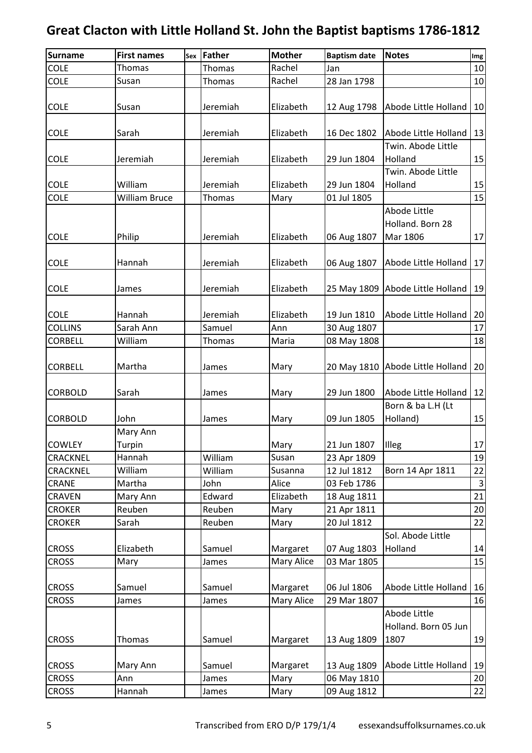| Surname        | <b>First names</b> | Sex Father    | <b>Mother</b>          | <b>Baptism date</b> | <b>Notes</b>                     | Img          |
|----------------|--------------------|---------------|------------------------|---------------------|----------------------------------|--------------|
| COLE           | <b>Thomas</b>      | <b>Thomas</b> | Rachel                 | Jan                 |                                  | 10           |
| COLE           | Susan              | <b>Thomas</b> | Rachel                 | 28 Jan 1798         |                                  | 10           |
|                |                    |               |                        |                     |                                  |              |
| <b>COLE</b>    | Susan              | Jeremiah      | Elizabeth              | 12 Aug 1798         | Abode Little Holland             | 10           |
|                |                    |               |                        |                     |                                  |              |
| <b>COLE</b>    | Sarah              | Jeremiah      | Elizabeth              | 16 Dec 1802         | Abode Little Holland             | 13           |
|                |                    |               |                        |                     | Twin. Abode Little               |              |
| <b>COLE</b>    | Jeremiah           | Jeremiah      | Elizabeth              | 29 Jun 1804         | Holland                          | 15           |
|                |                    |               |                        |                     | Twin. Abode Little               |              |
| <b>COLE</b>    | William            | Jeremiah      | Elizabeth              | 29 Jun 1804         | Holland                          | 15           |
| <b>COLE</b>    | William Bruce      | <b>Thomas</b> | Mary                   | 01 Jul 1805         |                                  | 15           |
|                |                    |               |                        |                     | <b>Abode Little</b>              |              |
|                |                    |               |                        |                     | Holland. Born 28                 |              |
| <b>COLE</b>    | Philip             | Jeremiah      | Elizabeth              | 06 Aug 1807         | Mar 1806                         | 17           |
|                |                    |               |                        |                     |                                  |              |
| <b>COLE</b>    | Hannah             | Jeremiah      | Elizabeth              | 06 Aug 1807         | Abode Little Holland             | 17           |
|                |                    |               |                        |                     |                                  |              |
| <b>COLE</b>    | James              | Jeremiah      | Elizabeth              |                     | 25 May 1809 Abode Little Holland | 19           |
|                |                    |               |                        |                     |                                  |              |
| COLE           | Hannah             | Jeremiah      | Elizabeth              | 19 Jun 1810         | Abode Little Holland             | 20           |
| <b>COLLINS</b> | Sarah Ann          | Samuel        | Ann                    | 30 Aug 1807         |                                  | 17           |
| <b>CORBELL</b> | William            | <b>Thomas</b> | Maria                  | 08 May 1808         |                                  | 18           |
|                |                    |               |                        |                     |                                  |              |
| <b>CORBELL</b> | Martha             | James         | Mary                   |                     | 20 May 1810 Abode Little Holland | 20           |
|                |                    |               |                        |                     |                                  |              |
| <b>CORBOLD</b> | Sarah              | James         | Mary                   | 29 Jun 1800         | Abode Little Holland             | 12           |
|                |                    |               |                        |                     | Born & ba L.H (Lt                |              |
| <b>CORBOLD</b> | John               | James         | Mary                   | 09 Jun 1805         | Holland)                         | 15           |
|                | Mary Ann           |               |                        |                     |                                  |              |
| <b>COWLEY</b>  | Turpin             |               | Mary                   | 21 Jun 1807         | Illeg                            | 17           |
| CRACKNEL       | Hannah             | William       | Susan                  | 23 Apr 1809         |                                  | 19           |
| CRACKNEL       | William            | William       | Susanna                | 12 Jul 1812         | Born 14 Apr 1811                 | 22           |
| CRANE          | Martha             | John          | Alice                  | 03 Feb 1786         |                                  | $\mathbf{3}$ |
| <b>CRAVEN</b>  | Mary Ann           | Edward        | Elizabeth              | 18 Aug 1811         |                                  | 21           |
| <b>CROKER</b>  | Reuben             | Reuben        | Mary                   | 21 Apr 1811         |                                  | 20           |
| <b>CROKER</b>  | Sarah              | Reuben        | Mary                   | 20 Jul 1812         |                                  | 22           |
|                |                    |               |                        |                     | Sol. Abode Little                |              |
| <b>CROSS</b>   | Elizabeth          | Samuel        | Margaret<br>Mary Alice | 07 Aug 1803         | Holland                          | 14           |
| <b>CROSS</b>   | Mary               | James         |                        | 03 Mar 1805         |                                  | 15           |
| <b>CROSS</b>   | Samuel             | Samuel        |                        | 06 Jul 1806         | Abode Little Holland             | 16           |
| <b>CROSS</b>   | James              | James         | Margaret<br>Mary Alice | 29 Mar 1807         |                                  | 16           |
|                |                    |               |                        |                     | Abode Little                     |              |
|                |                    |               |                        |                     | Holland. Born 05 Jun             |              |
| <b>CROSS</b>   | <b>Thomas</b>      | Samuel        | Margaret               | 13 Aug 1809         | 1807                             | 19           |
|                |                    |               |                        |                     |                                  |              |
| <b>CROSS</b>   | Mary Ann           | Samuel        | Margaret               | 13 Aug 1809         | Abode Little Holland             | 19           |
| <b>CROSS</b>   | Ann                | James         | Mary                   | 06 May 1810         |                                  | 20           |
| <b>CROSS</b>   | Hannah             | James         | Mary                   | 09 Aug 1812         |                                  | 22           |
|                |                    |               |                        |                     |                                  |              |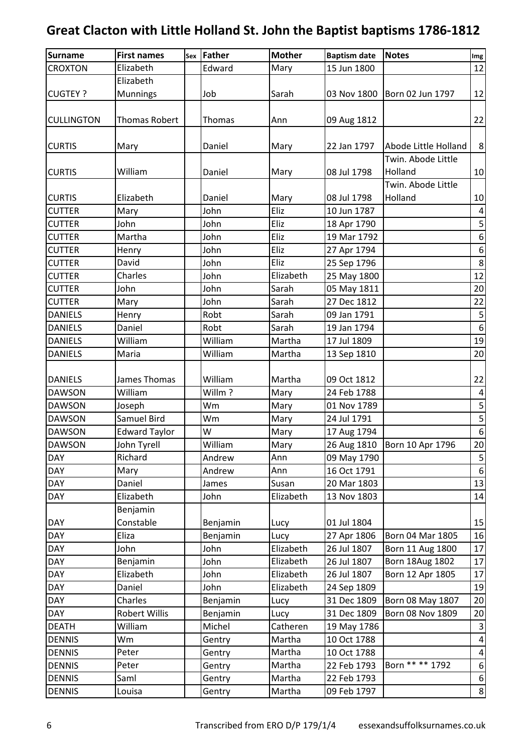| Surname           | <b>First names</b>   | sex Father | <b>Mother</b> | <b>Baptism date</b> | <b>Notes</b>                   | Img                     |
|-------------------|----------------------|------------|---------------|---------------------|--------------------------------|-------------------------|
| <b>CROXTON</b>    | Elizabeth            | Edward     | Mary          | 15 Jun 1800         |                                | 12                      |
|                   | Elizabeth            |            |               |                     |                                |                         |
| <b>CUGTEY?</b>    | <b>Munnings</b>      | Job        | Sarah         | 03 Nov 1800         | Born 02 Jun 1797               | 12                      |
| <b>CULLINGTON</b> | Thomas Robert        | Thomas     | Ann           | 09 Aug 1812         |                                | 22                      |
|                   |                      |            |               |                     |                                |                         |
| <b>CURTIS</b>     | Mary                 | Daniel     | Mary          | 22 Jan 1797         | Abode Little Holland           | 8                       |
|                   |                      |            |               |                     | Twin. Abode Little             |                         |
| <b>CURTIS</b>     | William              | Daniel     | Mary          | 08 Jul 1798         | Holland                        | 10                      |
|                   |                      |            |               |                     | Twin. Abode Little             |                         |
| <b>CURTIS</b>     | Elizabeth            | Daniel     | Mary          | 08 Jul 1798         | Holland                        | 10                      |
| <b>CUTTER</b>     | Mary                 | John       | Eliz          | 10 Jun 1787         |                                | 4                       |
| <b>CUTTER</b>     | John                 | John       | Eliz          | 18 Apr 1790         |                                | 5                       |
| <b>CUTTER</b>     | Martha               | John       | Eliz          | 19 Mar 1792         |                                | $\boldsymbol{6}$        |
| <b>CUTTER</b>     | Henry                | John       | Eliz          | 27 Apr 1794         |                                | $\boldsymbol{6}$        |
| <b>CUTTER</b>     | David                | John       | Eliz          | 25 Sep 1796         |                                | 8                       |
| <b>CUTTER</b>     | Charles              | John       | Elizabeth     | 25 May 1800         |                                | 12                      |
| <b>CUTTER</b>     | John                 | John       | Sarah         | 05 May 1811         |                                | 20                      |
| <b>CUTTER</b>     | Mary                 | John       | Sarah         | 27 Dec 1812         |                                | 22                      |
| <b>DANIELS</b>    | Henry                | Robt       | Sarah         | 09 Jan 1791         |                                | 5                       |
| <b>DANIELS</b>    | Daniel               | Robt       | Sarah         | 19 Jan 1794         |                                | $\,$ 6 $\,$             |
| <b>DANIELS</b>    | William              | William    | Martha        | 17 Jul 1809         |                                | 19                      |
| <b>DANIELS</b>    | Maria                | William    | Martha        | 13 Sep 1810         |                                | 20                      |
|                   |                      |            |               |                     |                                |                         |
| <b>DANIELS</b>    | James Thomas         | William    | Martha        | 09 Oct 1812         |                                | 22                      |
| <b>DAWSON</b>     | William              | Willm?     | Mary          | 24 Feb 1788         |                                | $\overline{4}$          |
| <b>DAWSON</b>     | Joseph               | Wm         | Mary          | 01 Nov 1789         |                                | 5                       |
| <b>DAWSON</b>     | Samuel Bird          | Wm         | Mary          | 24 Jul 1791         |                                | 5                       |
| <b>DAWSON</b>     | <b>Edward Taylor</b> | W          | Mary          | 17 Aug 1794         |                                | $\boldsymbol{6}$        |
| <b>DAWSON</b>     | John Tyrell          | William    | Mary          |                     | 26 Aug 1810   Born 10 Apr 1796 | 20                      |
| <b>DAY</b>        | Richard              | Andrew     | Ann           | 09 May 1790         |                                | $\mathsf S$             |
| DAY               | Mary                 | Andrew     | Ann           | 16 Oct 1791         |                                | $\boldsymbol{6}$        |
| <b>DAY</b>        | Daniel               | James      | Susan         | 20 Mar 1803         |                                | 13                      |
| <b>DAY</b>        | Elizabeth            | John       | Elizabeth     | 13 Nov 1803         |                                | 14                      |
|                   | Benjamin             |            |               |                     |                                |                         |
| DAY               | Constable            | Benjamin   | Lucy          | 01 Jul 1804         |                                | 15                      |
| <b>DAY</b>        | Eliza                | Benjamin   | Lucy          | 27 Apr 1806         | Born 04 Mar 1805               | 16                      |
| <b>DAY</b>        | John                 | John       | Elizabeth     | 26 Jul 1807         | Born 11 Aug 1800               | 17                      |
| DAY               | Benjamin             | John       | Elizabeth     | 26 Jul 1807         | <b>Born 18Aug 1802</b>         | 17                      |
| <b>DAY</b>        | Elizabeth            | John       | Elizabeth     | 26 Jul 1807         | Born 12 Apr 1805               | 17                      |
| <b>DAY</b>        | Daniel               | John       | Elizabeth     | 24 Sep 1809         |                                | 19                      |
| <b>DAY</b>        | Charles              | Benjamin   | Lucy          | 31 Dec 1809         | Born 08 May 1807               | 20                      |
| <b>DAY</b>        | <b>Robert Willis</b> | Benjamin   | Lucy          | 31 Dec 1809         | Born 08 Nov 1809               | 20                      |
| <b>DEATH</b>      | William              | Michel     | Catheren      | 19 May 1786         |                                | $\mathbf{3}$            |
| <b>DENNIS</b>     | Wm                   | Gentry     | Martha        | 10 Oct 1788         |                                | $\overline{\mathbf{r}}$ |
| <b>DENNIS</b>     | Peter                | Gentry     | Martha        | 10 Oct 1788         |                                | $\sqrt{4}$              |
| <b>DENNIS</b>     | Peter                | Gentry     | Martha        | 22 Feb 1793         | Born ** ** 1792                | $\boldsymbol{6}$        |
| <b>DENNIS</b>     | Saml                 | Gentry     | Martha        | 22 Feb 1793         |                                | $\boldsymbol{6}$        |
| <b>DENNIS</b>     | Louisa               | Gentry     | Martha        | 09 Feb 1797         |                                | 8                       |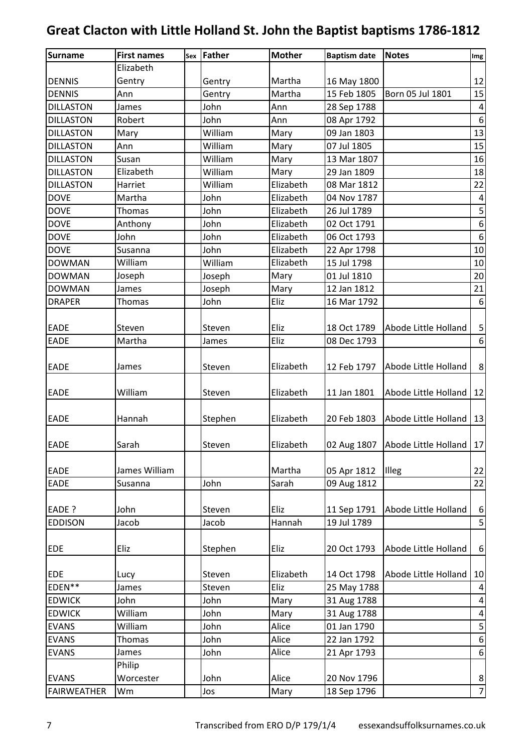### Surname First names Sex Father Mother Baptism date Notes Img DENNIS Elizabeth Gentry | Gentry | Martha | 16 May 1800 | 12 DENNIS | Ann | Gentry | Martha | 15 Feb 1805 | Born 05 Jul 1801 | 15 DILLASTON James | John | Ann | 28 Sep 1788 | | 4 DILLASTON Robert | John |Ann |08 Apr 1792 | |6 DILLASTON Mary William Mary 09 Jan 1803 13 DILLASTON |Ann | |William |Mary |07 Jul 1805 | 15 DILLASTON Susan | William Mary | 13 Mar 1807 | 16 DILLASTON Elizabeth | William | Mary | 29 Jan 1809 | 18 DILLASTON |Harriet | William |Elizabeth |08 Mar 1812 | 22 DOVE Martha John Elizabeth 04 Nov 1787 4 DOVE Thomas | John | Elizabeth | 26 Jul 1789 | S DOVE Anthony | John | Elizabeth | 02 Oct 1791 | | 6 DOVE John John Elizabeth 06 Oct 1793 6 DOVE Susanna | John | Elizabeth 22 Apr 1798 | 10 DOWMAN William | William | Elizabeth | 15 Jul 1798 | 10 DOWMAN Joseph Joseph Mary 01 Jul 1810 20 DOWMAN James Joseph Mary 12 Jan 1812 21 DRAPER Thomas John Eliz 16 Mar 1792 6 EADE Steven | Steven Eliz | 18 Oct 1789 | Abode Little Holland | 5 EADE | Martha | | James | Eliz | 08 Dec 1793 | | | | | | | | 6 EADE James | Steven Elizabeth 12 Feb 1797 Abode Little Holland 8 EADE | William | Steven | Elizabeth | 11 Jan 1801 | Abode Little Holland | 12 EADE Hannah Stephen Elizabeth 20 Feb 1803 Abode Little Holland 13 EADE Sarah | Steven | Elizabeth | 02 Aug 1807 | Abode Little Holland | 17 EADE James William | | Martha | 05 Apr 1812 | Illeg | 22 EADE Susanna | John Sarah | 09 Aug 1812 | 22 EADE ? John | Steven Eliz | 11 Sep 1791 Abode Little Holland | 6 EDDISON | Jacob | | Jacob | Hannah | 19 Jul 1789 | Theory State | S EDE FOR ELIZ | Stephen | Eliz | 20 Oct 1793 | Abode Little Holland | 6 EDE Lucy | Steven Elizabeth 14 Oct 1798 Abode Little Holland 10 EDEN\*\* James | Steven | Eliz | 25 May 1788 | | 4 EDWICK John | John Mary | 31 Aug 1788 | 4 EDWICK William | John | Mary | 31 Aug 1788 | 4 EVANS | William | John | Alice | 01 Jan 1790 | 5 EVANS Thomas John Alice 22 Jan 1792 6 EVANS James John Alice 21 Apr 1793 6 EVANS Philip Worcester | John | Alice | 20 Nov 1796 | 8 FAIRWEATHER Wm | Jos Mary | 18 Sep 1796 | 7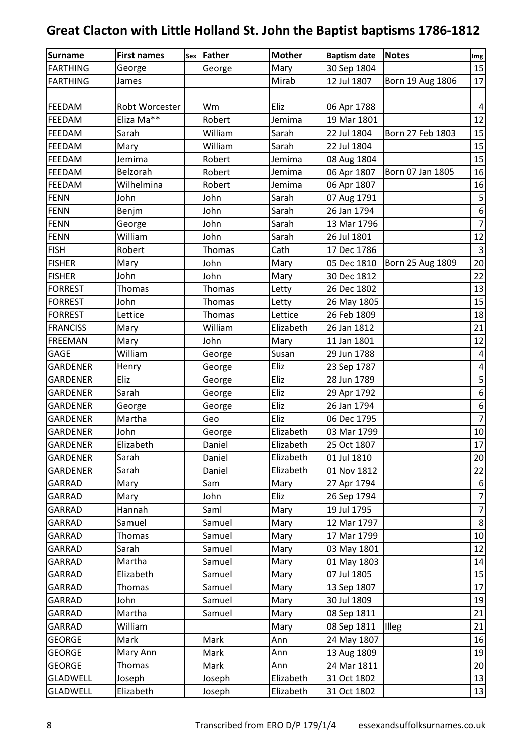| 15<br><b>FARTHING</b><br>Mary<br>30 Sep 1804<br>George<br>George<br>Mirab<br>Born 19 Aug 1806<br>17<br><b>FARTHING</b><br>James<br>12 Jul 1807<br>Eliz<br>$\overline{4}$<br>Robt Worcester<br>Wm<br>06 Apr 1788<br><b>FEEDAM</b><br>Eliza Ma**<br>12<br>Robert<br>Jemima<br>19 Mar 1801<br><b>FEEDAM</b><br>Sarah<br>Sarah<br>Born 27 Feb 1803<br>15<br>William<br>22 Jul 1804<br>FEEDAM<br>William<br>Sarah<br>22 Jul 1804<br>15<br><b>FEEDAM</b><br>Mary<br>15<br>Jemima<br>Robert<br>FEEDAM<br>08 Aug 1804<br>Jemima<br>Born 07 Jan 1805<br>Belzorah<br>Robert<br>Jemima<br>06 Apr 1807<br>16<br>FEEDAM<br><b>FEEDAM</b><br>Wilhelmina<br>Robert<br>06 Apr 1807<br>16<br>Jemima<br>$\mathsf S$<br><b>FENN</b><br>John<br>John<br>Sarah<br>07 Aug 1791<br>$\,6\,$<br><b>FENN</b><br>John<br>Sarah<br>26 Jan 1794<br>Benjm<br>Sarah<br>$\overline{7}$<br><b>FENN</b><br>George<br>John<br>13 Mar 1796<br><b>FENN</b><br>William<br>John<br>Sarah<br>26 Jul 1801<br>12<br>$\overline{3}$<br><b>FISH</b><br>Cath<br>Robert<br><b>Thomas</b><br>17 Dec 1786<br>20<br><b>FISHER</b><br>John<br>Born 25 Aug 1809<br>Mary<br>Mary<br>05 Dec 1810<br>John<br>John<br>22<br><b>FISHER</b><br>Mary<br>30 Dec 1812<br>13<br><b>FORREST</b><br>Thomas<br>Thomas<br>26 Dec 1802<br>Letty<br>15<br>John<br><b>FORREST</b><br>Thomas<br>26 May 1805<br>Letty<br>Lettice<br>Lettice<br>26 Feb 1809<br>18<br><b>FORREST</b><br>Thomas<br><b>FRANCISS</b><br>William<br>Elizabeth<br>21<br>Mary<br>26 Jan 1812<br>John<br><b>FREEMAN</b><br>11 Jan 1801<br>12<br>Mary<br>Mary<br>William<br>Susan<br>$\pmb{4}$<br>GAGE<br>29 Jun 1788<br>George<br>Eliz<br><b>GARDENER</b><br>$\overline{\mathbf{4}}$<br>Henry<br>George<br>23 Sep 1787<br>Eliz<br>Eliz<br>5<br>28 Jun 1789<br><b>GARDENER</b><br>George<br>Eliz<br>Sarah<br>6<br><b>GARDENER</b><br>George<br>29 Apr 1792<br>Eliz<br>26 Jan 1794<br>6<br><b>GARDENER</b><br>George<br>George<br>Eliz<br>$\overline{7}$<br>Martha<br><b>GARDENER</b><br>Geo<br>06 Dec 1795<br>Elizabeth<br>John<br>03 Mar 1799<br>10<br><b>GARDENER</b><br>George<br>17<br>Elizabeth<br>Elizabeth<br>25 Oct 1807<br>Daniel<br><b>GARDENER</b><br>Elizabeth<br>20<br>Sarah<br>01 Jul 1810<br><b>GARDENER</b><br>Daniel<br>Sarah<br>Elizabeth<br>Daniel<br>01 Nov 1812<br>22<br><b>GARDENER</b><br><b>GARRAD</b><br>Mary<br>Mary<br>27 Apr 1794<br>$\boldsymbol{6}$<br>Sam<br>Eliz<br>$\overline{7}$<br>John<br>26 Sep 1794<br>GARRAD<br>Mary<br>7<br>Hannah<br>Mary<br>19 Jul 1795<br><b>GARRAD</b><br>Saml<br>Samuel<br>$\bf 8$<br>12 Mar 1797<br><b>GARRAD</b><br>Samuel<br>Mary<br>$10\,$<br><b>GARRAD</b><br>17 Mar 1799<br><b>Thomas</b><br>Samuel<br>Mary<br>Sarah<br>Mary<br>03 May 1801<br>12<br>GARRAD<br>Samuel<br>Martha<br><b>GARRAD</b><br>Samuel<br>Mary<br>01 May 1803<br>14<br>Elizabeth<br>07 Jul 1805<br>15<br><b>GARRAD</b><br>Samuel<br>Mary<br><b>Thomas</b><br>13 Sep 1807<br>17<br>GARRAD<br>Samuel<br>Mary<br>19<br><b>GARRAD</b><br>John<br>Samuel<br>Mary<br>30 Jul 1809<br>Martha<br>Mary<br>08 Sep 1811<br>21<br><b>GARRAD</b><br>Samuel<br>08 Sep 1811<br>Illeg<br>21<br>GARRAD<br>William<br>Mary<br>Mark<br>16<br><b>GEORGE</b><br>Mark<br>Ann<br>24 May 1807<br>Mary Ann<br>13 Aug 1809<br>19<br><b>GEORGE</b><br>Mark<br>Ann<br>Thomas<br>Mark<br><b>GEORGE</b><br>Ann<br>24 Mar 1811<br>20<br>Elizabeth<br><b>GLADWELL</b><br>13<br>Joseph<br>Joseph<br>31 Oct 1802<br><b>GLADWELL</b><br>Elizabeth<br>Joseph<br>Elizabeth<br>31 Oct 1802<br>13 | <b>Surname</b> | <b>First names</b> | Sex | Father | <b>Mother</b> | <b>Baptism date</b> | <b>Notes</b> | <b>Img</b> |
|--------------------------------------------------------------------------------------------------------------------------------------------------------------------------------------------------------------------------------------------------------------------------------------------------------------------------------------------------------------------------------------------------------------------------------------------------------------------------------------------------------------------------------------------------------------------------------------------------------------------------------------------------------------------------------------------------------------------------------------------------------------------------------------------------------------------------------------------------------------------------------------------------------------------------------------------------------------------------------------------------------------------------------------------------------------------------------------------------------------------------------------------------------------------------------------------------------------------------------------------------------------------------------------------------------------------------------------------------------------------------------------------------------------------------------------------------------------------------------------------------------------------------------------------------------------------------------------------------------------------------------------------------------------------------------------------------------------------------------------------------------------------------------------------------------------------------------------------------------------------------------------------------------------------------------------------------------------------------------------------------------------------------------------------------------------------------------------------------------------------------------------------------------------------------------------------------------------------------------------------------------------------------------------------------------------------------------------------------------------------------------------------------------------------------------------------------------------------------------------------------------------------------------------------------------------------------------------------------------------------------------------------------------------------------------------------------------------------------------------------------------------------------------------------------------------------------------------------------------------------------------------------------------------------------------------------------------------------------------------------------------------------------------------------------------------------------------------------------------------------------------------------------------------------------------------------------------------------------------------------------------------------------------------------------------------------------------------------------------------------------------------------------------------------------------------------------------------------------------------------------|----------------|--------------------|-----|--------|---------------|---------------------|--------------|------------|
|                                                                                                                                                                                                                                                                                                                                                                                                                                                                                                                                                                                                                                                                                                                                                                                                                                                                                                                                                                                                                                                                                                                                                                                                                                                                                                                                                                                                                                                                                                                                                                                                                                                                                                                                                                                                                                                                                                                                                                                                                                                                                                                                                                                                                                                                                                                                                                                                                                                                                                                                                                                                                                                                                                                                                                                                                                                                                                                                                                                                                                                                                                                                                                                                                                                                                                                                                                                                                                                                                                  |                |                    |     |        |               |                     |              |            |
|                                                                                                                                                                                                                                                                                                                                                                                                                                                                                                                                                                                                                                                                                                                                                                                                                                                                                                                                                                                                                                                                                                                                                                                                                                                                                                                                                                                                                                                                                                                                                                                                                                                                                                                                                                                                                                                                                                                                                                                                                                                                                                                                                                                                                                                                                                                                                                                                                                                                                                                                                                                                                                                                                                                                                                                                                                                                                                                                                                                                                                                                                                                                                                                                                                                                                                                                                                                                                                                                                                  |                |                    |     |        |               |                     |              |            |
|                                                                                                                                                                                                                                                                                                                                                                                                                                                                                                                                                                                                                                                                                                                                                                                                                                                                                                                                                                                                                                                                                                                                                                                                                                                                                                                                                                                                                                                                                                                                                                                                                                                                                                                                                                                                                                                                                                                                                                                                                                                                                                                                                                                                                                                                                                                                                                                                                                                                                                                                                                                                                                                                                                                                                                                                                                                                                                                                                                                                                                                                                                                                                                                                                                                                                                                                                                                                                                                                                                  |                |                    |     |        |               |                     |              |            |
|                                                                                                                                                                                                                                                                                                                                                                                                                                                                                                                                                                                                                                                                                                                                                                                                                                                                                                                                                                                                                                                                                                                                                                                                                                                                                                                                                                                                                                                                                                                                                                                                                                                                                                                                                                                                                                                                                                                                                                                                                                                                                                                                                                                                                                                                                                                                                                                                                                                                                                                                                                                                                                                                                                                                                                                                                                                                                                                                                                                                                                                                                                                                                                                                                                                                                                                                                                                                                                                                                                  |                |                    |     |        |               |                     |              |            |
|                                                                                                                                                                                                                                                                                                                                                                                                                                                                                                                                                                                                                                                                                                                                                                                                                                                                                                                                                                                                                                                                                                                                                                                                                                                                                                                                                                                                                                                                                                                                                                                                                                                                                                                                                                                                                                                                                                                                                                                                                                                                                                                                                                                                                                                                                                                                                                                                                                                                                                                                                                                                                                                                                                                                                                                                                                                                                                                                                                                                                                                                                                                                                                                                                                                                                                                                                                                                                                                                                                  |                |                    |     |        |               |                     |              |            |
|                                                                                                                                                                                                                                                                                                                                                                                                                                                                                                                                                                                                                                                                                                                                                                                                                                                                                                                                                                                                                                                                                                                                                                                                                                                                                                                                                                                                                                                                                                                                                                                                                                                                                                                                                                                                                                                                                                                                                                                                                                                                                                                                                                                                                                                                                                                                                                                                                                                                                                                                                                                                                                                                                                                                                                                                                                                                                                                                                                                                                                                                                                                                                                                                                                                                                                                                                                                                                                                                                                  |                |                    |     |        |               |                     |              |            |
|                                                                                                                                                                                                                                                                                                                                                                                                                                                                                                                                                                                                                                                                                                                                                                                                                                                                                                                                                                                                                                                                                                                                                                                                                                                                                                                                                                                                                                                                                                                                                                                                                                                                                                                                                                                                                                                                                                                                                                                                                                                                                                                                                                                                                                                                                                                                                                                                                                                                                                                                                                                                                                                                                                                                                                                                                                                                                                                                                                                                                                                                                                                                                                                                                                                                                                                                                                                                                                                                                                  |                |                    |     |        |               |                     |              |            |
|                                                                                                                                                                                                                                                                                                                                                                                                                                                                                                                                                                                                                                                                                                                                                                                                                                                                                                                                                                                                                                                                                                                                                                                                                                                                                                                                                                                                                                                                                                                                                                                                                                                                                                                                                                                                                                                                                                                                                                                                                                                                                                                                                                                                                                                                                                                                                                                                                                                                                                                                                                                                                                                                                                                                                                                                                                                                                                                                                                                                                                                                                                                                                                                                                                                                                                                                                                                                                                                                                                  |                |                    |     |        |               |                     |              |            |
|                                                                                                                                                                                                                                                                                                                                                                                                                                                                                                                                                                                                                                                                                                                                                                                                                                                                                                                                                                                                                                                                                                                                                                                                                                                                                                                                                                                                                                                                                                                                                                                                                                                                                                                                                                                                                                                                                                                                                                                                                                                                                                                                                                                                                                                                                                                                                                                                                                                                                                                                                                                                                                                                                                                                                                                                                                                                                                                                                                                                                                                                                                                                                                                                                                                                                                                                                                                                                                                                                                  |                |                    |     |        |               |                     |              |            |
|                                                                                                                                                                                                                                                                                                                                                                                                                                                                                                                                                                                                                                                                                                                                                                                                                                                                                                                                                                                                                                                                                                                                                                                                                                                                                                                                                                                                                                                                                                                                                                                                                                                                                                                                                                                                                                                                                                                                                                                                                                                                                                                                                                                                                                                                                                                                                                                                                                                                                                                                                                                                                                                                                                                                                                                                                                                                                                                                                                                                                                                                                                                                                                                                                                                                                                                                                                                                                                                                                                  |                |                    |     |        |               |                     |              |            |
|                                                                                                                                                                                                                                                                                                                                                                                                                                                                                                                                                                                                                                                                                                                                                                                                                                                                                                                                                                                                                                                                                                                                                                                                                                                                                                                                                                                                                                                                                                                                                                                                                                                                                                                                                                                                                                                                                                                                                                                                                                                                                                                                                                                                                                                                                                                                                                                                                                                                                                                                                                                                                                                                                                                                                                                                                                                                                                                                                                                                                                                                                                                                                                                                                                                                                                                                                                                                                                                                                                  |                |                    |     |        |               |                     |              |            |
|                                                                                                                                                                                                                                                                                                                                                                                                                                                                                                                                                                                                                                                                                                                                                                                                                                                                                                                                                                                                                                                                                                                                                                                                                                                                                                                                                                                                                                                                                                                                                                                                                                                                                                                                                                                                                                                                                                                                                                                                                                                                                                                                                                                                                                                                                                                                                                                                                                                                                                                                                                                                                                                                                                                                                                                                                                                                                                                                                                                                                                                                                                                                                                                                                                                                                                                                                                                                                                                                                                  |                |                    |     |        |               |                     |              |            |
|                                                                                                                                                                                                                                                                                                                                                                                                                                                                                                                                                                                                                                                                                                                                                                                                                                                                                                                                                                                                                                                                                                                                                                                                                                                                                                                                                                                                                                                                                                                                                                                                                                                                                                                                                                                                                                                                                                                                                                                                                                                                                                                                                                                                                                                                                                                                                                                                                                                                                                                                                                                                                                                                                                                                                                                                                                                                                                                                                                                                                                                                                                                                                                                                                                                                                                                                                                                                                                                                                                  |                |                    |     |        |               |                     |              |            |
|                                                                                                                                                                                                                                                                                                                                                                                                                                                                                                                                                                                                                                                                                                                                                                                                                                                                                                                                                                                                                                                                                                                                                                                                                                                                                                                                                                                                                                                                                                                                                                                                                                                                                                                                                                                                                                                                                                                                                                                                                                                                                                                                                                                                                                                                                                                                                                                                                                                                                                                                                                                                                                                                                                                                                                                                                                                                                                                                                                                                                                                                                                                                                                                                                                                                                                                                                                                                                                                                                                  |                |                    |     |        |               |                     |              |            |
|                                                                                                                                                                                                                                                                                                                                                                                                                                                                                                                                                                                                                                                                                                                                                                                                                                                                                                                                                                                                                                                                                                                                                                                                                                                                                                                                                                                                                                                                                                                                                                                                                                                                                                                                                                                                                                                                                                                                                                                                                                                                                                                                                                                                                                                                                                                                                                                                                                                                                                                                                                                                                                                                                                                                                                                                                                                                                                                                                                                                                                                                                                                                                                                                                                                                                                                                                                                                                                                                                                  |                |                    |     |        |               |                     |              |            |
|                                                                                                                                                                                                                                                                                                                                                                                                                                                                                                                                                                                                                                                                                                                                                                                                                                                                                                                                                                                                                                                                                                                                                                                                                                                                                                                                                                                                                                                                                                                                                                                                                                                                                                                                                                                                                                                                                                                                                                                                                                                                                                                                                                                                                                                                                                                                                                                                                                                                                                                                                                                                                                                                                                                                                                                                                                                                                                                                                                                                                                                                                                                                                                                                                                                                                                                                                                                                                                                                                                  |                |                    |     |        |               |                     |              |            |
|                                                                                                                                                                                                                                                                                                                                                                                                                                                                                                                                                                                                                                                                                                                                                                                                                                                                                                                                                                                                                                                                                                                                                                                                                                                                                                                                                                                                                                                                                                                                                                                                                                                                                                                                                                                                                                                                                                                                                                                                                                                                                                                                                                                                                                                                                                                                                                                                                                                                                                                                                                                                                                                                                                                                                                                                                                                                                                                                                                                                                                                                                                                                                                                                                                                                                                                                                                                                                                                                                                  |                |                    |     |        |               |                     |              |            |
|                                                                                                                                                                                                                                                                                                                                                                                                                                                                                                                                                                                                                                                                                                                                                                                                                                                                                                                                                                                                                                                                                                                                                                                                                                                                                                                                                                                                                                                                                                                                                                                                                                                                                                                                                                                                                                                                                                                                                                                                                                                                                                                                                                                                                                                                                                                                                                                                                                                                                                                                                                                                                                                                                                                                                                                                                                                                                                                                                                                                                                                                                                                                                                                                                                                                                                                                                                                                                                                                                                  |                |                    |     |        |               |                     |              |            |
|                                                                                                                                                                                                                                                                                                                                                                                                                                                                                                                                                                                                                                                                                                                                                                                                                                                                                                                                                                                                                                                                                                                                                                                                                                                                                                                                                                                                                                                                                                                                                                                                                                                                                                                                                                                                                                                                                                                                                                                                                                                                                                                                                                                                                                                                                                                                                                                                                                                                                                                                                                                                                                                                                                                                                                                                                                                                                                                                                                                                                                                                                                                                                                                                                                                                                                                                                                                                                                                                                                  |                |                    |     |        |               |                     |              |            |
|                                                                                                                                                                                                                                                                                                                                                                                                                                                                                                                                                                                                                                                                                                                                                                                                                                                                                                                                                                                                                                                                                                                                                                                                                                                                                                                                                                                                                                                                                                                                                                                                                                                                                                                                                                                                                                                                                                                                                                                                                                                                                                                                                                                                                                                                                                                                                                                                                                                                                                                                                                                                                                                                                                                                                                                                                                                                                                                                                                                                                                                                                                                                                                                                                                                                                                                                                                                                                                                                                                  |                |                    |     |        |               |                     |              |            |
|                                                                                                                                                                                                                                                                                                                                                                                                                                                                                                                                                                                                                                                                                                                                                                                                                                                                                                                                                                                                                                                                                                                                                                                                                                                                                                                                                                                                                                                                                                                                                                                                                                                                                                                                                                                                                                                                                                                                                                                                                                                                                                                                                                                                                                                                                                                                                                                                                                                                                                                                                                                                                                                                                                                                                                                                                                                                                                                                                                                                                                                                                                                                                                                                                                                                                                                                                                                                                                                                                                  |                |                    |     |        |               |                     |              |            |
|                                                                                                                                                                                                                                                                                                                                                                                                                                                                                                                                                                                                                                                                                                                                                                                                                                                                                                                                                                                                                                                                                                                                                                                                                                                                                                                                                                                                                                                                                                                                                                                                                                                                                                                                                                                                                                                                                                                                                                                                                                                                                                                                                                                                                                                                                                                                                                                                                                                                                                                                                                                                                                                                                                                                                                                                                                                                                                                                                                                                                                                                                                                                                                                                                                                                                                                                                                                                                                                                                                  |                |                    |     |        |               |                     |              |            |
|                                                                                                                                                                                                                                                                                                                                                                                                                                                                                                                                                                                                                                                                                                                                                                                                                                                                                                                                                                                                                                                                                                                                                                                                                                                                                                                                                                                                                                                                                                                                                                                                                                                                                                                                                                                                                                                                                                                                                                                                                                                                                                                                                                                                                                                                                                                                                                                                                                                                                                                                                                                                                                                                                                                                                                                                                                                                                                                                                                                                                                                                                                                                                                                                                                                                                                                                                                                                                                                                                                  |                |                    |     |        |               |                     |              |            |
|                                                                                                                                                                                                                                                                                                                                                                                                                                                                                                                                                                                                                                                                                                                                                                                                                                                                                                                                                                                                                                                                                                                                                                                                                                                                                                                                                                                                                                                                                                                                                                                                                                                                                                                                                                                                                                                                                                                                                                                                                                                                                                                                                                                                                                                                                                                                                                                                                                                                                                                                                                                                                                                                                                                                                                                                                                                                                                                                                                                                                                                                                                                                                                                                                                                                                                                                                                                                                                                                                                  |                |                    |     |        |               |                     |              |            |
|                                                                                                                                                                                                                                                                                                                                                                                                                                                                                                                                                                                                                                                                                                                                                                                                                                                                                                                                                                                                                                                                                                                                                                                                                                                                                                                                                                                                                                                                                                                                                                                                                                                                                                                                                                                                                                                                                                                                                                                                                                                                                                                                                                                                                                                                                                                                                                                                                                                                                                                                                                                                                                                                                                                                                                                                                                                                                                                                                                                                                                                                                                                                                                                                                                                                                                                                                                                                                                                                                                  |                |                    |     |        |               |                     |              |            |
|                                                                                                                                                                                                                                                                                                                                                                                                                                                                                                                                                                                                                                                                                                                                                                                                                                                                                                                                                                                                                                                                                                                                                                                                                                                                                                                                                                                                                                                                                                                                                                                                                                                                                                                                                                                                                                                                                                                                                                                                                                                                                                                                                                                                                                                                                                                                                                                                                                                                                                                                                                                                                                                                                                                                                                                                                                                                                                                                                                                                                                                                                                                                                                                                                                                                                                                                                                                                                                                                                                  |                |                    |     |        |               |                     |              |            |
|                                                                                                                                                                                                                                                                                                                                                                                                                                                                                                                                                                                                                                                                                                                                                                                                                                                                                                                                                                                                                                                                                                                                                                                                                                                                                                                                                                                                                                                                                                                                                                                                                                                                                                                                                                                                                                                                                                                                                                                                                                                                                                                                                                                                                                                                                                                                                                                                                                                                                                                                                                                                                                                                                                                                                                                                                                                                                                                                                                                                                                                                                                                                                                                                                                                                                                                                                                                                                                                                                                  |                |                    |     |        |               |                     |              |            |
|                                                                                                                                                                                                                                                                                                                                                                                                                                                                                                                                                                                                                                                                                                                                                                                                                                                                                                                                                                                                                                                                                                                                                                                                                                                                                                                                                                                                                                                                                                                                                                                                                                                                                                                                                                                                                                                                                                                                                                                                                                                                                                                                                                                                                                                                                                                                                                                                                                                                                                                                                                                                                                                                                                                                                                                                                                                                                                                                                                                                                                                                                                                                                                                                                                                                                                                                                                                                                                                                                                  |                |                    |     |        |               |                     |              |            |
|                                                                                                                                                                                                                                                                                                                                                                                                                                                                                                                                                                                                                                                                                                                                                                                                                                                                                                                                                                                                                                                                                                                                                                                                                                                                                                                                                                                                                                                                                                                                                                                                                                                                                                                                                                                                                                                                                                                                                                                                                                                                                                                                                                                                                                                                                                                                                                                                                                                                                                                                                                                                                                                                                                                                                                                                                                                                                                                                                                                                                                                                                                                                                                                                                                                                                                                                                                                                                                                                                                  |                |                    |     |        |               |                     |              |            |
|                                                                                                                                                                                                                                                                                                                                                                                                                                                                                                                                                                                                                                                                                                                                                                                                                                                                                                                                                                                                                                                                                                                                                                                                                                                                                                                                                                                                                                                                                                                                                                                                                                                                                                                                                                                                                                                                                                                                                                                                                                                                                                                                                                                                                                                                                                                                                                                                                                                                                                                                                                                                                                                                                                                                                                                                                                                                                                                                                                                                                                                                                                                                                                                                                                                                                                                                                                                                                                                                                                  |                |                    |     |        |               |                     |              |            |
|                                                                                                                                                                                                                                                                                                                                                                                                                                                                                                                                                                                                                                                                                                                                                                                                                                                                                                                                                                                                                                                                                                                                                                                                                                                                                                                                                                                                                                                                                                                                                                                                                                                                                                                                                                                                                                                                                                                                                                                                                                                                                                                                                                                                                                                                                                                                                                                                                                                                                                                                                                                                                                                                                                                                                                                                                                                                                                                                                                                                                                                                                                                                                                                                                                                                                                                                                                                                                                                                                                  |                |                    |     |        |               |                     |              |            |
|                                                                                                                                                                                                                                                                                                                                                                                                                                                                                                                                                                                                                                                                                                                                                                                                                                                                                                                                                                                                                                                                                                                                                                                                                                                                                                                                                                                                                                                                                                                                                                                                                                                                                                                                                                                                                                                                                                                                                                                                                                                                                                                                                                                                                                                                                                                                                                                                                                                                                                                                                                                                                                                                                                                                                                                                                                                                                                                                                                                                                                                                                                                                                                                                                                                                                                                                                                                                                                                                                                  |                |                    |     |        |               |                     |              |            |
|                                                                                                                                                                                                                                                                                                                                                                                                                                                                                                                                                                                                                                                                                                                                                                                                                                                                                                                                                                                                                                                                                                                                                                                                                                                                                                                                                                                                                                                                                                                                                                                                                                                                                                                                                                                                                                                                                                                                                                                                                                                                                                                                                                                                                                                                                                                                                                                                                                                                                                                                                                                                                                                                                                                                                                                                                                                                                                                                                                                                                                                                                                                                                                                                                                                                                                                                                                                                                                                                                                  |                |                    |     |        |               |                     |              |            |
|                                                                                                                                                                                                                                                                                                                                                                                                                                                                                                                                                                                                                                                                                                                                                                                                                                                                                                                                                                                                                                                                                                                                                                                                                                                                                                                                                                                                                                                                                                                                                                                                                                                                                                                                                                                                                                                                                                                                                                                                                                                                                                                                                                                                                                                                                                                                                                                                                                                                                                                                                                                                                                                                                                                                                                                                                                                                                                                                                                                                                                                                                                                                                                                                                                                                                                                                                                                                                                                                                                  |                |                    |     |        |               |                     |              |            |
|                                                                                                                                                                                                                                                                                                                                                                                                                                                                                                                                                                                                                                                                                                                                                                                                                                                                                                                                                                                                                                                                                                                                                                                                                                                                                                                                                                                                                                                                                                                                                                                                                                                                                                                                                                                                                                                                                                                                                                                                                                                                                                                                                                                                                                                                                                                                                                                                                                                                                                                                                                                                                                                                                                                                                                                                                                                                                                                                                                                                                                                                                                                                                                                                                                                                                                                                                                                                                                                                                                  |                |                    |     |        |               |                     |              |            |
|                                                                                                                                                                                                                                                                                                                                                                                                                                                                                                                                                                                                                                                                                                                                                                                                                                                                                                                                                                                                                                                                                                                                                                                                                                                                                                                                                                                                                                                                                                                                                                                                                                                                                                                                                                                                                                                                                                                                                                                                                                                                                                                                                                                                                                                                                                                                                                                                                                                                                                                                                                                                                                                                                                                                                                                                                                                                                                                                                                                                                                                                                                                                                                                                                                                                                                                                                                                                                                                                                                  |                |                    |     |        |               |                     |              |            |
|                                                                                                                                                                                                                                                                                                                                                                                                                                                                                                                                                                                                                                                                                                                                                                                                                                                                                                                                                                                                                                                                                                                                                                                                                                                                                                                                                                                                                                                                                                                                                                                                                                                                                                                                                                                                                                                                                                                                                                                                                                                                                                                                                                                                                                                                                                                                                                                                                                                                                                                                                                                                                                                                                                                                                                                                                                                                                                                                                                                                                                                                                                                                                                                                                                                                                                                                                                                                                                                                                                  |                |                    |     |        |               |                     |              |            |
|                                                                                                                                                                                                                                                                                                                                                                                                                                                                                                                                                                                                                                                                                                                                                                                                                                                                                                                                                                                                                                                                                                                                                                                                                                                                                                                                                                                                                                                                                                                                                                                                                                                                                                                                                                                                                                                                                                                                                                                                                                                                                                                                                                                                                                                                                                                                                                                                                                                                                                                                                                                                                                                                                                                                                                                                                                                                                                                                                                                                                                                                                                                                                                                                                                                                                                                                                                                                                                                                                                  |                |                    |     |        |               |                     |              |            |
|                                                                                                                                                                                                                                                                                                                                                                                                                                                                                                                                                                                                                                                                                                                                                                                                                                                                                                                                                                                                                                                                                                                                                                                                                                                                                                                                                                                                                                                                                                                                                                                                                                                                                                                                                                                                                                                                                                                                                                                                                                                                                                                                                                                                                                                                                                                                                                                                                                                                                                                                                                                                                                                                                                                                                                                                                                                                                                                                                                                                                                                                                                                                                                                                                                                                                                                                                                                                                                                                                                  |                |                    |     |        |               |                     |              |            |
|                                                                                                                                                                                                                                                                                                                                                                                                                                                                                                                                                                                                                                                                                                                                                                                                                                                                                                                                                                                                                                                                                                                                                                                                                                                                                                                                                                                                                                                                                                                                                                                                                                                                                                                                                                                                                                                                                                                                                                                                                                                                                                                                                                                                                                                                                                                                                                                                                                                                                                                                                                                                                                                                                                                                                                                                                                                                                                                                                                                                                                                                                                                                                                                                                                                                                                                                                                                                                                                                                                  |                |                    |     |        |               |                     |              |            |
|                                                                                                                                                                                                                                                                                                                                                                                                                                                                                                                                                                                                                                                                                                                                                                                                                                                                                                                                                                                                                                                                                                                                                                                                                                                                                                                                                                                                                                                                                                                                                                                                                                                                                                                                                                                                                                                                                                                                                                                                                                                                                                                                                                                                                                                                                                                                                                                                                                                                                                                                                                                                                                                                                                                                                                                                                                                                                                                                                                                                                                                                                                                                                                                                                                                                                                                                                                                                                                                                                                  |                |                    |     |        |               |                     |              |            |
|                                                                                                                                                                                                                                                                                                                                                                                                                                                                                                                                                                                                                                                                                                                                                                                                                                                                                                                                                                                                                                                                                                                                                                                                                                                                                                                                                                                                                                                                                                                                                                                                                                                                                                                                                                                                                                                                                                                                                                                                                                                                                                                                                                                                                                                                                                                                                                                                                                                                                                                                                                                                                                                                                                                                                                                                                                                                                                                                                                                                                                                                                                                                                                                                                                                                                                                                                                                                                                                                                                  |                |                    |     |        |               |                     |              |            |
|                                                                                                                                                                                                                                                                                                                                                                                                                                                                                                                                                                                                                                                                                                                                                                                                                                                                                                                                                                                                                                                                                                                                                                                                                                                                                                                                                                                                                                                                                                                                                                                                                                                                                                                                                                                                                                                                                                                                                                                                                                                                                                                                                                                                                                                                                                                                                                                                                                                                                                                                                                                                                                                                                                                                                                                                                                                                                                                                                                                                                                                                                                                                                                                                                                                                                                                                                                                                                                                                                                  |                |                    |     |        |               |                     |              |            |
|                                                                                                                                                                                                                                                                                                                                                                                                                                                                                                                                                                                                                                                                                                                                                                                                                                                                                                                                                                                                                                                                                                                                                                                                                                                                                                                                                                                                                                                                                                                                                                                                                                                                                                                                                                                                                                                                                                                                                                                                                                                                                                                                                                                                                                                                                                                                                                                                                                                                                                                                                                                                                                                                                                                                                                                                                                                                                                                                                                                                                                                                                                                                                                                                                                                                                                                                                                                                                                                                                                  |                |                    |     |        |               |                     |              |            |
|                                                                                                                                                                                                                                                                                                                                                                                                                                                                                                                                                                                                                                                                                                                                                                                                                                                                                                                                                                                                                                                                                                                                                                                                                                                                                                                                                                                                                                                                                                                                                                                                                                                                                                                                                                                                                                                                                                                                                                                                                                                                                                                                                                                                                                                                                                                                                                                                                                                                                                                                                                                                                                                                                                                                                                                                                                                                                                                                                                                                                                                                                                                                                                                                                                                                                                                                                                                                                                                                                                  |                |                    |     |        |               |                     |              |            |
|                                                                                                                                                                                                                                                                                                                                                                                                                                                                                                                                                                                                                                                                                                                                                                                                                                                                                                                                                                                                                                                                                                                                                                                                                                                                                                                                                                                                                                                                                                                                                                                                                                                                                                                                                                                                                                                                                                                                                                                                                                                                                                                                                                                                                                                                                                                                                                                                                                                                                                                                                                                                                                                                                                                                                                                                                                                                                                                                                                                                                                                                                                                                                                                                                                                                                                                                                                                                                                                                                                  |                |                    |     |        |               |                     |              |            |
|                                                                                                                                                                                                                                                                                                                                                                                                                                                                                                                                                                                                                                                                                                                                                                                                                                                                                                                                                                                                                                                                                                                                                                                                                                                                                                                                                                                                                                                                                                                                                                                                                                                                                                                                                                                                                                                                                                                                                                                                                                                                                                                                                                                                                                                                                                                                                                                                                                                                                                                                                                                                                                                                                                                                                                                                                                                                                                                                                                                                                                                                                                                                                                                                                                                                                                                                                                                                                                                                                                  |                |                    |     |        |               |                     |              |            |
|                                                                                                                                                                                                                                                                                                                                                                                                                                                                                                                                                                                                                                                                                                                                                                                                                                                                                                                                                                                                                                                                                                                                                                                                                                                                                                                                                                                                                                                                                                                                                                                                                                                                                                                                                                                                                                                                                                                                                                                                                                                                                                                                                                                                                                                                                                                                                                                                                                                                                                                                                                                                                                                                                                                                                                                                                                                                                                                                                                                                                                                                                                                                                                                                                                                                                                                                                                                                                                                                                                  |                |                    |     |        |               |                     |              |            |
|                                                                                                                                                                                                                                                                                                                                                                                                                                                                                                                                                                                                                                                                                                                                                                                                                                                                                                                                                                                                                                                                                                                                                                                                                                                                                                                                                                                                                                                                                                                                                                                                                                                                                                                                                                                                                                                                                                                                                                                                                                                                                                                                                                                                                                                                                                                                                                                                                                                                                                                                                                                                                                                                                                                                                                                                                                                                                                                                                                                                                                                                                                                                                                                                                                                                                                                                                                                                                                                                                                  |                |                    |     |        |               |                     |              |            |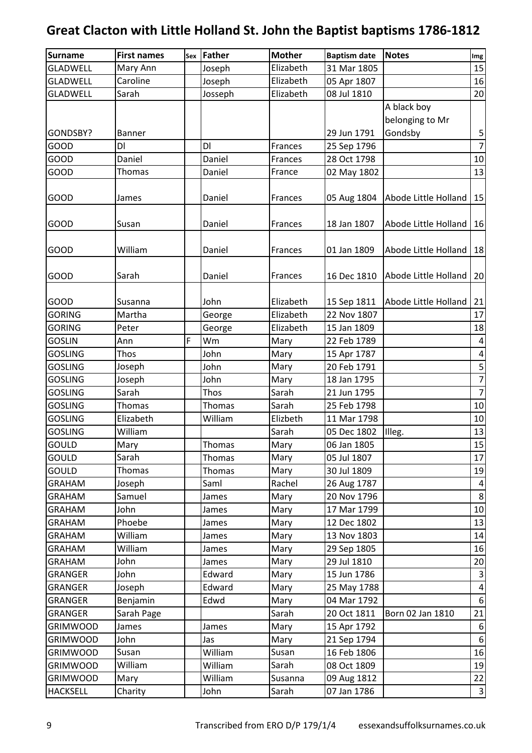| <b>Surname</b>  | <b>First names</b> | Sex | Father        | <b>Mother</b> | <b>Baptism date</b> | <b>Notes</b>         | Img                     |
|-----------------|--------------------|-----|---------------|---------------|---------------------|----------------------|-------------------------|
| <b>GLADWELL</b> | Mary Ann           |     | Joseph        | Elizabeth     | 31 Mar 1805         |                      | 15                      |
| <b>GLADWELL</b> | Caroline           |     | Joseph        | Elizabeth     | 05 Apr 1807         |                      | 16                      |
| <b>GLADWELL</b> | Sarah              |     | Josseph       | Elizabeth     | 08 Jul 1810         |                      | 20                      |
|                 |                    |     |               |               |                     | A black boy          |                         |
|                 |                    |     |               |               |                     | belonging to Mr      |                         |
| GONDSBY?        | <b>Banner</b>      |     |               |               | 29 Jun 1791         | Gondsby              | 5                       |
| GOOD            | DI                 |     | DI            | Frances       | 25 Sep 1796         |                      | $\overline{7}$          |
| GOOD            | Daniel             |     | Daniel        | Frances       | 28 Oct 1798         |                      | 10                      |
| GOOD            | <b>Thomas</b>      |     | Daniel        | France        | 02 May 1802         |                      | 13                      |
|                 |                    |     |               |               |                     |                      |                         |
| <b>GOOD</b>     | James              |     | Daniel        | Frances       | 05 Aug 1804         | Abode Little Holland | 15                      |
|                 |                    |     |               |               |                     |                      |                         |
| <b>GOOD</b>     | Susan              |     | Daniel        | Frances       | 18 Jan 1807         | Abode Little Holland | 16                      |
|                 |                    |     |               |               |                     |                      |                         |
| <b>GOOD</b>     | William            |     | Daniel        | Frances       | 01 Jan 1809         | Abode Little Holland | 18                      |
|                 |                    |     |               |               |                     |                      |                         |
| <b>GOOD</b>     | Sarah              |     | Daniel        | Frances       | 16 Dec 1810         | Abode Little Holland | 20                      |
|                 |                    |     |               |               |                     |                      |                         |
| GOOD            | Susanna            |     | John          | Elizabeth     | 15 Sep 1811         | Abode Little Holland | 21                      |
| <b>GORING</b>   | Martha             |     | George        | Elizabeth     | 22 Nov 1807         |                      | 17                      |
| <b>GORING</b>   | Peter              |     | George        | Elizabeth     | 15 Jan 1809         |                      | 18                      |
| <b>GOSLIN</b>   | Ann                | F   | Wm            | Mary          | 22 Feb 1789         |                      | $\overline{\mathbf{4}}$ |
| <b>GOSLING</b>  | Thos               |     | John          | Mary          | 15 Apr 1787         |                      | 4                       |
| <b>GOSLING</b>  | Joseph             |     | John          | Mary          | 20 Feb 1791         |                      | $\mathsf S$             |
| <b>GOSLING</b>  | Joseph             |     | John          | Mary          | 18 Jan 1795         |                      | $\overline{7}$          |
| <b>GOSLING</b>  | Sarah              |     | Thos          | Sarah         | 21 Jun 1795         |                      | $\overline{7}$          |
| <b>GOSLING</b>  | <b>Thomas</b>      |     | <b>Thomas</b> | Sarah         | 25 Feb 1798         |                      | $10\,$                  |
| <b>GOSLING</b>  | Elizabeth          |     | William       | Elizbeth      | 11 Mar 1798         |                      | $10\,$                  |
| <b>GOSLING</b>  | William            |     |               | Sarah         | 05 Dec 1802         | Illeg.               | 13                      |
| GOULD           | Mary               |     | Thomas        | Mary          | 06 Jan 1805         |                      | 15                      |
| GOULD           | Sarah              |     | Thomas        | Mary          | 05 Jul 1807         |                      | 17                      |
| <b>GOULD</b>    | <b>Thomas</b>      |     | Thomas        | Mary          | 30 Jul 1809         |                      | 19                      |
| <b>GRAHAM</b>   | Joseph             |     | Saml          | Rachel        | 26 Aug 1787         |                      | 4                       |
| <b>GRAHAM</b>   | Samuel             |     | James         | Mary          | 20 Nov 1796         |                      | $\bf 8$                 |
| <b>GRAHAM</b>   | John               |     | James         | Mary          | 17 Mar 1799         |                      | 10                      |
| <b>GRAHAM</b>   | Phoebe             |     | James         | Mary          | 12 Dec 1802         |                      | 13                      |
| <b>GRAHAM</b>   | William            |     | James         | Mary          | 13 Nov 1803         |                      | 14                      |
| <b>GRAHAM</b>   | William            |     | James         | Mary          | 29 Sep 1805         |                      | 16                      |
| <b>GRAHAM</b>   | John               |     | James         | Mary          | 29 Jul 1810         |                      | 20                      |
| <b>GRANGER</b>  | John               |     | Edward        | Mary          | 15 Jun 1786         |                      | $\mathbf{3}$            |
| <b>GRANGER</b>  | Joseph             |     | Edward        | Mary          | 25 May 1788         |                      | $\overline{4}$          |
| <b>GRANGER</b>  | Benjamin           |     | Edwd          | Mary          | 04 Mar 1792         |                      | $\boldsymbol{6}$        |
| <b>GRANGER</b>  | Sarah Page         |     |               | Sarah         | 20 Oct 1811         | Born 02 Jan 1810     | 21                      |
| <b>GRIMWOOD</b> | James              |     | James         | Mary          | 15 Apr 1792         |                      | 6                       |
| <b>GRIMWOOD</b> | John               |     | Jas           | Mary          | 21 Sep 1794         |                      | $\boldsymbol{6}$        |
| <b>GRIMWOOD</b> | Susan              |     | William       | Susan         | 16 Feb 1806         |                      | 16                      |
| <b>GRIMWOOD</b> | William            |     | William       | Sarah         | 08 Oct 1809         |                      | 19                      |
| <b>GRIMWOOD</b> | Mary               |     | William       | Susanna       | 09 Aug 1812         |                      | 22                      |
| <b>HACKSELL</b> | Charity            |     | John          | Sarah         | 07 Jan 1786         |                      | $\mathbf{3}$            |
|                 |                    |     |               |               |                     |                      |                         |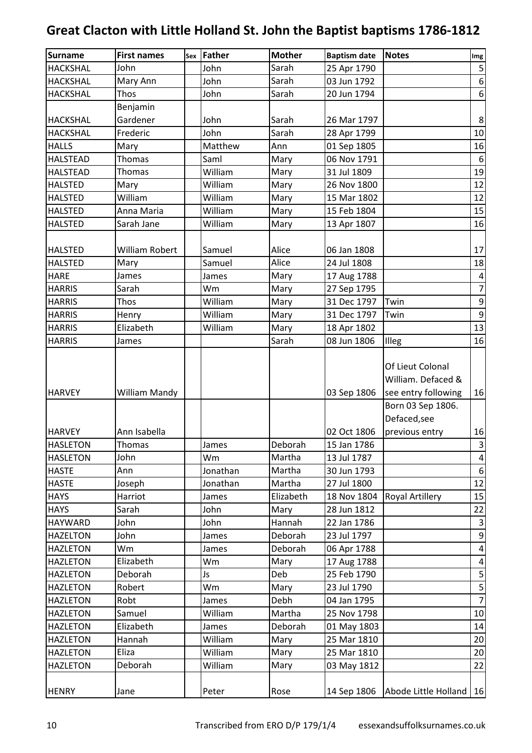| <b>Surname</b>                     | <b>First names</b> | Sex | <b>Father</b> | <b>Mother</b>     | <b>Baptism date</b>        | <b>Notes</b>                                                  | Img                     |
|------------------------------------|--------------------|-----|---------------|-------------------|----------------------------|---------------------------------------------------------------|-------------------------|
| <b>HACKSHAL</b>                    | John               |     | John          | Sarah             | 25 Apr 1790                |                                                               | $\mathsf S$             |
| <b>HACKSHAL</b>                    | Mary Ann           |     | John          | Sarah             | 03 Jun 1792                |                                                               | $\boldsymbol{6}$        |
| <b>HACKSHAL</b>                    | Thos               |     | John          | Sarah             | 20 Jun 1794                |                                                               | $\boldsymbol{6}$        |
|                                    | Benjamin           |     |               |                   |                            |                                                               |                         |
| <b>HACKSHAL</b>                    | Gardener           |     | John          | Sarah             | 26 Mar 1797                |                                                               | $\,8\,$                 |
| <b>HACKSHAL</b>                    | Frederic           |     | John          | Sarah             | 28 Apr 1799                |                                                               | 10                      |
| <b>HALLS</b>                       | Mary               |     | Matthew       | Ann               | 01 Sep 1805                |                                                               | 16                      |
| <b>HALSTEAD</b>                    | <b>Thomas</b>      |     | Saml          | Mary              | 06 Nov 1791                |                                                               | $\boldsymbol{6}$        |
| <b>HALSTEAD</b>                    | Thomas             |     | William       | Mary              | 31 Jul 1809                |                                                               | 19                      |
| <b>HALSTED</b>                     | Mary               |     | William       | Mary              | 26 Nov 1800                |                                                               | 12                      |
| <b>HALSTED</b>                     | William            |     | William       | Mary              | 15 Mar 1802                |                                                               | 12                      |
| <b>HALSTED</b>                     | Anna Maria         |     | William       | Mary              | 15 Feb 1804                |                                                               | 15                      |
| <b>HALSTED</b>                     | Sarah Jane         |     | William       | Mary              | 13 Apr 1807                |                                                               | 16                      |
| <b>HALSTED</b>                     | William Robert     |     | Samuel        | Alice             | 06 Jan 1808                |                                                               | 17                      |
| <b>HALSTED</b>                     | Mary               |     | Samuel        | Alice             | 24 Jul 1808                |                                                               | 18                      |
| <b>HARE</b>                        | James              |     | James         | Mary              | 17 Aug 1788                |                                                               | $\pmb{4}$               |
| <b>HARRIS</b>                      | Sarah              |     | Wm            | Mary              | 27 Sep 1795                |                                                               | $\overline{7}$          |
| <b>HARRIS</b>                      | Thos               |     | William       | Mary              | 31 Dec 1797                | Twin                                                          | $\boldsymbol{9}$        |
| <b>HARRIS</b>                      | Henry              |     | William       | Mary              | 31 Dec 1797                | Twin                                                          | $\boldsymbol{9}$        |
| <b>HARRIS</b>                      | Elizabeth          |     | William       | Mary              | 18 Apr 1802                |                                                               | 13                      |
| <b>HARRIS</b>                      | James              |     |               | Sarah             | 08 Jun 1806                | Illeg                                                         | 16                      |
| <b>HARVEY</b>                      | William Mandy      |     |               |                   | 03 Sep 1806                | Of Lieut Colonal<br>William. Defaced &<br>see entry following | 16                      |
|                                    |                    |     |               |                   |                            | Born 03 Sep 1806.<br>Defaced, see                             |                         |
| <b>HARVEY</b>                      | Ann Isabella       |     |               |                   | 02 Oct 1806                | previous entry                                                | 16                      |
| <b>HASLETON</b>                    | <b>Thomas</b>      |     | James         | Deborah           | 15 Jan 1786                |                                                               | $\overline{3}$          |
| <b>HASLETON</b>                    | John               |     | Wm            | Martha            | 13 Jul 1787                |                                                               | 4                       |
| <b>HASTE</b>                       | Ann                |     | Jonathan      | Martha            | 30 Jun 1793                |                                                               | 6                       |
| <b>HASTE</b>                       | Joseph             |     | Jonathan      | Martha            | 27 Jul 1800                |                                                               | 12                      |
| <b>HAYS</b>                        | Harriot            |     | James         | Elizabeth         | 18 Nov 1804                | <b>Royal Artillery</b>                                        | 15                      |
| <b>HAYS</b>                        | Sarah              |     | John          | Mary              | 28 Jun 1812                |                                                               | 22                      |
| <b>HAYWARD</b>                     | John               |     | John          | Hannah<br>Deborah | 22 Jan 1786                |                                                               | $\overline{3}$          |
| <b>HAZELTON</b><br><b>HAZLETON</b> | John<br>Wm         |     | James         | Deborah           | 23 Jul 1797                |                                                               | $\boldsymbol{9}$        |
| <b>HAZLETON</b>                    | Elizabeth          |     | James<br>Wm   | Mary              | 06 Apr 1788<br>17 Aug 1788 |                                                               | $\overline{\mathbf{4}}$ |
| <b>HAZLETON</b>                    | Deborah            |     | Js            | Deb               | 25 Feb 1790                |                                                               | 4<br>$\mathsf S$        |
| <b>HAZLETON</b>                    | Robert             |     | Wm            | Mary              | 23 Jul 1790                |                                                               | $\mathsf S$             |
| <b>HAZLETON</b>                    | Robt               |     | James         | Debh              | 04 Jan 1795                |                                                               | $\overline{7}$          |
| <b>HAZLETON</b>                    | Samuel             |     | William       | Martha            | 25 Nov 1798                |                                                               | 10                      |
| <b>HAZLETON</b>                    | Elizabeth          |     | James         | Deborah           | 01 May 1803                |                                                               | 14                      |
| <b>HAZLETON</b>                    | Hannah             |     | William       | Mary              | 25 Mar 1810                |                                                               | 20                      |
| <b>HAZLETON</b>                    | Eliza              |     | William       | Mary              | 25 Mar 1810                |                                                               | 20                      |
| <b>HAZLETON</b>                    | Deborah            |     | William       | Mary              | 03 May 1812                |                                                               | 22                      |
|                                    |                    |     |               |                   |                            |                                                               |                         |
| <b>HENRY</b>                       | Jane               |     | Peter         | Rose              |                            | 14 Sep 1806 Abode Little Holland   16                         |                         |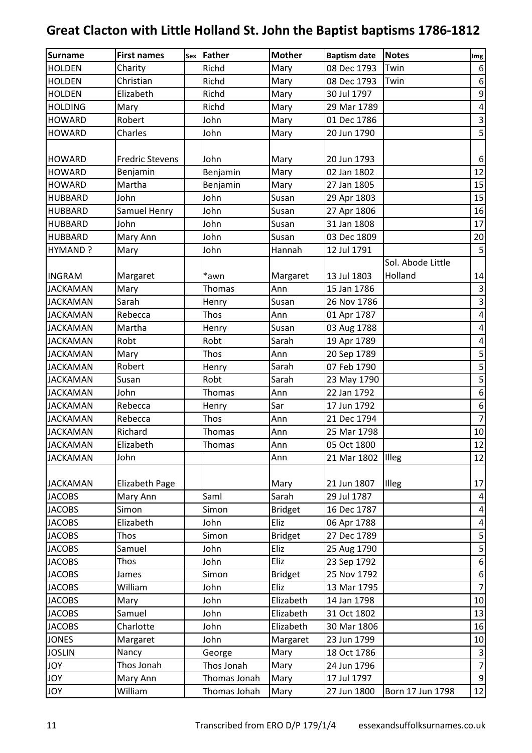| <b>Surname</b>  | <b>First names</b>     | Sex | <b>Father</b> | <b>Mother</b>  | <b>Baptism date</b> | <b>Notes</b>      | Img                       |
|-----------------|------------------------|-----|---------------|----------------|---------------------|-------------------|---------------------------|
| <b>HOLDEN</b>   | Charity                |     | Richd         | Mary           | 08 Dec 1793         | Twin              | 6                         |
| <b>HOLDEN</b>   | Christian              |     | Richd         | Mary           | 08 Dec 1793         | Twin              | $\boldsymbol{6}$          |
| <b>HOLDEN</b>   | Elizabeth              |     | Richd         | Mary           | 30 Jul 1797         |                   | $\boldsymbol{9}$          |
| <b>HOLDING</b>  | Mary                   |     | Richd         | Mary           | 29 Mar 1789         |                   | $\pmb{4}$                 |
| <b>HOWARD</b>   | Robert                 |     | John          | Mary           | 01 Dec 1786         |                   | $\overline{3}$            |
| <b>HOWARD</b>   | Charles                |     | John          | Mary           | 20 Jun 1790         |                   | 5                         |
|                 |                        |     |               |                |                     |                   |                           |
| <b>HOWARD</b>   | <b>Fredric Stevens</b> |     | John          | Mary           | 20 Jun 1793         |                   | $\boldsymbol{6}$          |
| <b>HOWARD</b>   | Benjamin               |     | Benjamin      | Mary           | 02 Jan 1802         |                   | 12                        |
| <b>HOWARD</b>   | Martha                 |     | Benjamin      | Mary           | 27 Jan 1805         |                   | 15                        |
| <b>HUBBARD</b>  | John                   |     | John          | Susan          | 29 Apr 1803         |                   | 15                        |
| <b>HUBBARD</b>  | Samuel Henry           |     | John          | Susan          | 27 Apr 1806         |                   | 16                        |
| <b>HUBBARD</b>  | John                   |     | John          | Susan          | 31 Jan 1808         |                   | 17                        |
| <b>HUBBARD</b>  | Mary Ann               |     | John          | Susan          | 03 Dec 1809         |                   | 20                        |
| HYMAND ?        | Mary                   |     | John          | Hannah         | 12 Jul 1791         |                   | 5                         |
|                 |                        |     |               |                |                     | Sol. Abode Little |                           |
| <b>INGRAM</b>   | Margaret               |     | *awn          | Margaret       | 13 Jul 1803         | Holland           | 14                        |
| <b>JACKAMAN</b> | Mary                   |     | Thomas        | Ann            | 15 Jan 1786         |                   | $\ensuremath{\mathsf{3}}$ |
| <b>JACKAMAN</b> | Sarah                  |     | Henry         | Susan          | 26 Nov 1786         |                   | $\overline{3}$            |
| <b>JACKAMAN</b> | Rebecca                |     | Thos          | Ann            | 01 Apr 1787         |                   | 4                         |
| <b>JACKAMAN</b> | Martha                 |     | Henry         | Susan          | 03 Aug 1788         |                   | $\pmb{4}$                 |
| <b>JACKAMAN</b> | Robt                   |     | Robt          | Sarah          | 19 Apr 1789         |                   | $\pmb{4}$                 |
| <b>JACKAMAN</b> | Mary                   |     | Thos          | Ann            | 20 Sep 1789         |                   | $\mathsf S$               |
| <b>JACKAMAN</b> | Robert                 |     | Henry         | Sarah          | 07 Feb 1790         |                   | 5                         |
| <b>JACKAMAN</b> | Susan                  |     | Robt          | Sarah          | 23 May 1790         |                   | $\mathsf S$               |
| <b>JACKAMAN</b> | John                   |     | Thomas        | Ann            | 22 Jan 1792         |                   | $\boldsymbol{6}$          |
| <b>JACKAMAN</b> | Rebecca                |     | Henry         | Sar            | 17 Jun 1792         |                   | $\boldsymbol{6}$          |
| <b>JACKAMAN</b> | Rebecca                |     | Thos          | Ann            | 21 Dec 1794         |                   | $\overline{7}$            |
| <b>JACKAMAN</b> | Richard                |     | Thomas        | Ann            | 25 Mar 1798         |                   | 10                        |
| <b>JACKAMAN</b> | Elizabeth              |     | Thomas        | Ann            | 05 Oct 1800         |                   | 12                        |
| <b>JACKAMAN</b> | John                   |     |               | Ann            | 21 Mar 1802         | Illeg             | 12                        |
|                 |                        |     |               |                |                     |                   |                           |
| <b>JACKAMAN</b> | Elizabeth Page         |     |               | Mary           | 21 Jun 1807         | Illeg             | 17                        |
| <b>JACOBS</b>   | Mary Ann               |     | Saml          | Sarah          | 29 Jul 1787         |                   | $\overline{a}$            |
| <b>JACOBS</b>   | Simon                  |     | Simon         | <b>Bridget</b> | 16 Dec 1787         |                   | $\pmb{4}$                 |
| <b>JACOBS</b>   | Elizabeth              |     | John          | Eliz           | 06 Apr 1788         |                   | $\pmb{4}$                 |
| <b>JACOBS</b>   | Thos                   |     | Simon         | <b>Bridget</b> | 27 Dec 1789         |                   | $\mathsf S$               |
| <b>JACOBS</b>   | Samuel                 |     | John          | Eliz           | 25 Aug 1790         |                   | 5                         |
| <b>JACOBS</b>   | Thos                   |     | John          | Eliz           | 23 Sep 1792         |                   | $\boldsymbol{6}$          |
| <b>JACOBS</b>   | James                  |     | Simon         | <b>Bridget</b> | 25 Nov 1792         |                   | $\boldsymbol{6}$          |
| <b>JACOBS</b>   | William                |     | John          | Eliz           | 13 Mar 1795         |                   | $\overline{7}$            |
| <b>JACOBS</b>   | Mary                   |     | John          | Elizabeth      | 14 Jan 1798         |                   | $10\,$                    |
| <b>JACOBS</b>   | Samuel                 |     | John          | Elizabeth      | 31 Oct 1802         |                   | 13                        |
| <b>JACOBS</b>   | Charlotte              |     | John          | Elizabeth      | 30 Mar 1806         |                   | 16                        |
|                 |                        |     |               |                |                     |                   |                           |
| <b>JONES</b>    | Margaret               |     | John          | Margaret       | 23 Jun 1799         |                   | 10                        |
| <b>JOSLIN</b>   | Nancy                  |     | George        | Mary           | 18 Oct 1786         |                   | $\mathbf{3}$              |
| JOY             | Thos Jonah             |     | Thos Jonah    | Mary           | 24 Jun 1796         |                   | $\overline{7}$            |
| <b>JOY</b>      | Mary Ann               |     | Thomas Jonah  | Mary           | 17 Jul 1797         |                   | $\boldsymbol{9}$          |
| JOY             | William                |     | Thomas Johah  | Mary           | 27 Jun 1800         | Born 17 Jun 1798  | $12\,$                    |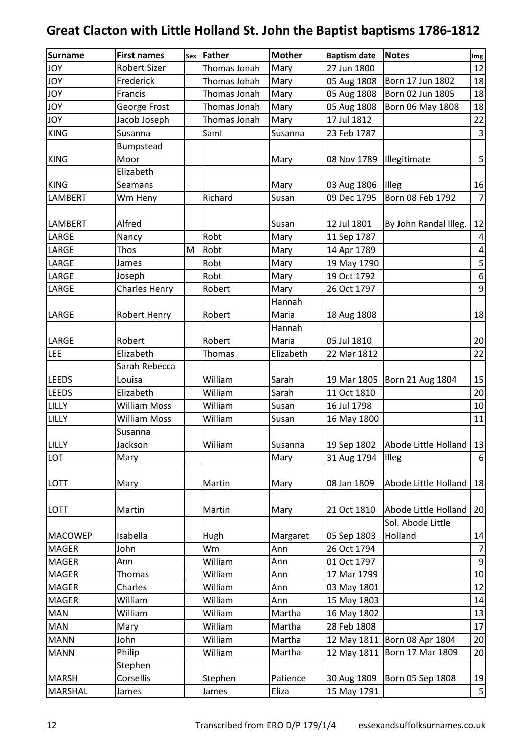| <b>Surname</b> | <b>First names</b>   | Sex | <b>Father</b> | <b>Mother</b> | <b>Baptism date</b> | <b>Notes</b>              | <b>Img</b>              |
|----------------|----------------------|-----|---------------|---------------|---------------------|---------------------------|-------------------------|
| JOY            | <b>Robert Sizer</b>  |     | Thomas Jonah  | Mary          | 27 Jun 1800         |                           | 12                      |
| <b>JOY</b>     | Frederick            |     | Thomas Johah  | Mary          | 05 Aug 1808         | Born 17 Jun 1802          | 18                      |
| <b>JOY</b>     | Francis              |     | Thomas Jonah  | Mary          | 05 Aug 1808         | Born 02 Jun 1805          | 18                      |
| <b>JOY</b>     | George Frost         |     | Thomas Jonah  | Mary          | 05 Aug 1808         | Born 06 May 1808          | 18                      |
| <b>JOY</b>     | Jacob Joseph         |     | Thomas Jonah  | Mary          | 17 Jul 1812         |                           | 22                      |
| <b>KING</b>    | Susanna              |     | Saml          | Susanna       | 23 Feb 1787         |                           | $\mathbf{3}$            |
|                | Bumpstead            |     |               |               |                     |                           |                         |
| <b>KING</b>    | Moor                 |     |               | Mary          | 08 Nov 1789         | Illegitimate              | $\mathsf S$             |
|                | Elizabeth            |     |               |               |                     |                           |                         |
| <b>KING</b>    | Seamans              |     |               | Mary          | 03 Aug 1806         | Illeg                     | 16                      |
| <b>LAMBERT</b> | Wm Heny              |     | Richard       | Susan         | 09 Dec 1795         | Born 08 Feb 1792          | $\overline{7}$          |
|                |                      |     |               |               |                     |                           |                         |
| <b>LAMBERT</b> | Alfred               |     |               | Susan         | 12 Jul 1801         | By John Randal Illeg.     | 12                      |
| LARGE          | Nancy                |     | Robt          | Mary          | 11 Sep 1787         |                           | $\pmb{4}$               |
| LARGE          | Thos                 | M   | Robt          | Mary          | 14 Apr 1789         |                           | 4                       |
| LARGE          | James                |     | Robt          | Mary          | 19 May 1790         |                           | $\mathsf S$             |
| LARGE          | Joseph               |     | Robt          | Mary          | 19 Oct 1792         |                           | $\boldsymbol{6}$        |
| LARGE          | <b>Charles Henry</b> |     | Robert        | Mary          | 26 Oct 1797         |                           | $\overline{9}$          |
|                |                      |     |               | Hannah        |                     |                           |                         |
| LARGE          | Robert Henry         |     | Robert        | Maria         | 18 Aug 1808         |                           | 18                      |
|                |                      |     |               | Hannah        |                     |                           |                         |
| LARGE          | Robert               |     | Robert        | Maria         | 05 Jul 1810         |                           | 20                      |
| <b>LEE</b>     | Elizabeth            |     | <b>Thomas</b> | Elizabeth     | 22 Mar 1812         |                           | 22                      |
|                | Sarah Rebecca        |     |               |               |                     |                           |                         |
| <b>LEEDS</b>   | Louisa               |     | William       | Sarah         | 19 Mar 1805         | Born 21 Aug 1804          | 15                      |
| <b>LEEDS</b>   | Elizabeth            |     | William       | Sarah         | 11 Oct 1810         |                           | 20                      |
| LILLY          | <b>William Moss</b>  |     | William       | Susan         | 16 Jul 1798         |                           | 10                      |
| LILLY          | <b>William Moss</b>  |     | William       | Susan         | 16 May 1800         |                           | 11                      |
|                | Susanna              |     |               |               |                     |                           |                         |
| <b>LILLY</b>   | Jackson              |     | William       | Susanna       | 19 Sep 1802         | Abode Little Holland   13 |                         |
| <b>LOT</b>     | Mary                 |     |               | Mary          | 31 Aug 1794         | Illeg                     | $\boldsymbol{6}$        |
|                |                      |     |               |               |                     |                           |                         |
| <b>LOTT</b>    | Mary                 |     | Martin        | Mary          | 08 Jan 1809         | Abode Little Holland      | 18                      |
|                |                      |     |               |               |                     |                           |                         |
| <b>LOTT</b>    | Martin               |     | Martin        | Mary          | 21 Oct 1810         | Abode Little Holland      | 20                      |
|                |                      |     |               |               |                     | Sol. Abode Little         |                         |
| <b>MACOWEP</b> | Isabella             |     | Hugh          | Margaret      | 05 Sep 1803         | Holland                   | 14                      |
| <b>MAGER</b>   | John                 |     | Wm            | Ann           | 26 Oct 1794         |                           | $\overline{7}$          |
| <b>MAGER</b>   | Ann                  |     | William       | Ann           | 01 Oct 1797         |                           | $9\,$                   |
| <b>MAGER</b>   | Thomas               |     | William       | Ann           | 17 Mar 1799         |                           | $10\,$                  |
| <b>MAGER</b>   | Charles              |     | William       | Ann           | 03 May 1801         |                           | 12                      |
| <b>MAGER</b>   | William              |     | William       | Ann           | 15 May 1803         |                           | 14                      |
| <b>MAN</b>     | William              |     | William       | Martha        | 16 May 1802         |                           | 13                      |
| <b>MAN</b>     | Mary                 |     | William       | Martha        | 28 Feb 1808         |                           | 17                      |
| <b>MANN</b>    | John                 |     | William       | Martha        | 12 May 1811         | Born 08 Apr 1804          | 20                      |
| <b>MANN</b>    | Philip               |     | William       | Martha        | 12 May 1811         | Born 17 Mar 1809          | 20                      |
|                | Stephen              |     |               |               |                     |                           |                         |
| <b>MARSH</b>   | Corsellis            |     | Stephen       | Patience      | 30 Aug 1809         | Born 05 Sep 1808          | 19                      |
| <b>MARSHAL</b> | James                |     | James         | Eliza         | 15 May 1791         |                           | $\overline{\mathbf{5}}$ |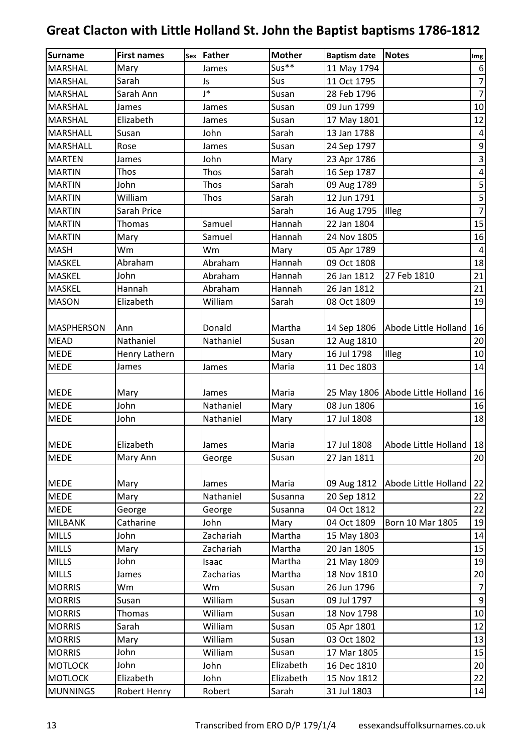| Sus**<br>11 May 1794<br>$\boldsymbol{6}$<br><b>MARSHAL</b><br>Mary<br>James<br>Sus<br>$\overline{7}$<br>Sarah<br><b>MARSHAL</b><br>11 Oct 1795<br>Js<br>l*<br>$\overline{7}$<br>Sarah Ann<br>28 Feb 1796<br><b>MARSHAL</b><br>Susan<br><b>MARSHAL</b><br>Susan<br>09 Jun 1799<br>James<br>James<br>Elizabeth<br>Susan<br>12<br><b>MARSHAL</b><br>17 May 1801<br>James<br>Sarah<br><b>MARSHALL</b><br>Susan<br>John<br>13 Jan 1788<br>$\overline{\mathbf{4}}$<br>$\boldsymbol{9}$<br><b>MARSHALL</b><br>Rose<br>Susan<br>24 Sep 1797<br>James<br><b>MARTEN</b><br>John<br>Mary<br>23 Apr 1786<br>James<br>Sarah<br>Thos<br>Thos<br>$\pmb{4}$<br><b>MARTIN</b><br>16 Sep 1787<br>5<br>Thos<br><b>MARTIN</b><br>John<br>Sarah<br>09 Aug 1789<br>5<br><b>MARTIN</b><br>William<br>Sarah<br>12 Jun 1791<br>Thos<br>$\overline{7}$<br>Sarah<br>16 Aug 1795<br>Illeg<br><b>MARTIN</b><br>Sarah Price<br>Hannah<br><b>Thomas</b><br>Samuel<br>22 Jan 1804<br><b>MARTIN</b><br>16<br>Hannah<br>24 Nov 1805<br><b>MARTIN</b><br>Samuel<br>Mary<br><b>MASH</b><br>Wm<br>Wm<br>Mary<br>05 Apr 1789<br>4<br>18<br>MASKEL<br>Abraham<br>Hannah<br>Abraham<br>09 Oct 1808<br>John<br>27 Feb 1810<br>21<br>MASKEL<br>Abraham<br>Hannah<br>26 Jan 1812<br>MASKEL<br>Hannah<br>Abraham<br>Hannah<br>26 Jan 1812<br>21 | <b>Surname</b> | <b>First names</b> | Sex | Father | <b>Mother</b> | <b>Baptism date</b> | Notes | Im <sub>g</sub> |
|-----------------------------------------------------------------------------------------------------------------------------------------------------------------------------------------------------------------------------------------------------------------------------------------------------------------------------------------------------------------------------------------------------------------------------------------------------------------------------------------------------------------------------------------------------------------------------------------------------------------------------------------------------------------------------------------------------------------------------------------------------------------------------------------------------------------------------------------------------------------------------------------------------------------------------------------------------------------------------------------------------------------------------------------------------------------------------------------------------------------------------------------------------------------------------------------------------------------------------------------------------------------------------------------------------|----------------|--------------------|-----|--------|---------------|---------------------|-------|-----------------|
|                                                                                                                                                                                                                                                                                                                                                                                                                                                                                                                                                                                                                                                                                                                                                                                                                                                                                                                                                                                                                                                                                                                                                                                                                                                                                                     |                |                    |     |        |               |                     |       |                 |
| 10<br>$\mathbf{3}$<br>15                                                                                                                                                                                                                                                                                                                                                                                                                                                                                                                                                                                                                                                                                                                                                                                                                                                                                                                                                                                                                                                                                                                                                                                                                                                                            |                |                    |     |        |               |                     |       |                 |
|                                                                                                                                                                                                                                                                                                                                                                                                                                                                                                                                                                                                                                                                                                                                                                                                                                                                                                                                                                                                                                                                                                                                                                                                                                                                                                     |                |                    |     |        |               |                     |       |                 |
|                                                                                                                                                                                                                                                                                                                                                                                                                                                                                                                                                                                                                                                                                                                                                                                                                                                                                                                                                                                                                                                                                                                                                                                                                                                                                                     |                |                    |     |        |               |                     |       |                 |
|                                                                                                                                                                                                                                                                                                                                                                                                                                                                                                                                                                                                                                                                                                                                                                                                                                                                                                                                                                                                                                                                                                                                                                                                                                                                                                     |                |                    |     |        |               |                     |       |                 |
|                                                                                                                                                                                                                                                                                                                                                                                                                                                                                                                                                                                                                                                                                                                                                                                                                                                                                                                                                                                                                                                                                                                                                                                                                                                                                                     |                |                    |     |        |               |                     |       |                 |
|                                                                                                                                                                                                                                                                                                                                                                                                                                                                                                                                                                                                                                                                                                                                                                                                                                                                                                                                                                                                                                                                                                                                                                                                                                                                                                     |                |                    |     |        |               |                     |       |                 |
|                                                                                                                                                                                                                                                                                                                                                                                                                                                                                                                                                                                                                                                                                                                                                                                                                                                                                                                                                                                                                                                                                                                                                                                                                                                                                                     |                |                    |     |        |               |                     |       |                 |
|                                                                                                                                                                                                                                                                                                                                                                                                                                                                                                                                                                                                                                                                                                                                                                                                                                                                                                                                                                                                                                                                                                                                                                                                                                                                                                     |                |                    |     |        |               |                     |       |                 |
|                                                                                                                                                                                                                                                                                                                                                                                                                                                                                                                                                                                                                                                                                                                                                                                                                                                                                                                                                                                                                                                                                                                                                                                                                                                                                                     |                |                    |     |        |               |                     |       |                 |
|                                                                                                                                                                                                                                                                                                                                                                                                                                                                                                                                                                                                                                                                                                                                                                                                                                                                                                                                                                                                                                                                                                                                                                                                                                                                                                     |                |                    |     |        |               |                     |       |                 |
|                                                                                                                                                                                                                                                                                                                                                                                                                                                                                                                                                                                                                                                                                                                                                                                                                                                                                                                                                                                                                                                                                                                                                                                                                                                                                                     |                |                    |     |        |               |                     |       |                 |
|                                                                                                                                                                                                                                                                                                                                                                                                                                                                                                                                                                                                                                                                                                                                                                                                                                                                                                                                                                                                                                                                                                                                                                                                                                                                                                     |                |                    |     |        |               |                     |       |                 |
|                                                                                                                                                                                                                                                                                                                                                                                                                                                                                                                                                                                                                                                                                                                                                                                                                                                                                                                                                                                                                                                                                                                                                                                                                                                                                                     |                |                    |     |        |               |                     |       |                 |
|                                                                                                                                                                                                                                                                                                                                                                                                                                                                                                                                                                                                                                                                                                                                                                                                                                                                                                                                                                                                                                                                                                                                                                                                                                                                                                     |                |                    |     |        |               |                     |       |                 |
|                                                                                                                                                                                                                                                                                                                                                                                                                                                                                                                                                                                                                                                                                                                                                                                                                                                                                                                                                                                                                                                                                                                                                                                                                                                                                                     |                |                    |     |        |               |                     |       |                 |
|                                                                                                                                                                                                                                                                                                                                                                                                                                                                                                                                                                                                                                                                                                                                                                                                                                                                                                                                                                                                                                                                                                                                                                                                                                                                                                     |                |                    |     |        |               |                     |       |                 |
|                                                                                                                                                                                                                                                                                                                                                                                                                                                                                                                                                                                                                                                                                                                                                                                                                                                                                                                                                                                                                                                                                                                                                                                                                                                                                                     |                |                    |     |        |               |                     |       |                 |
| Elizabeth<br>Sarah<br><b>MASON</b><br>William<br>08 Oct 1809                                                                                                                                                                                                                                                                                                                                                                                                                                                                                                                                                                                                                                                                                                                                                                                                                                                                                                                                                                                                                                                                                                                                                                                                                                        |                |                    |     |        |               |                     |       | 19              |
|                                                                                                                                                                                                                                                                                                                                                                                                                                                                                                                                                                                                                                                                                                                                                                                                                                                                                                                                                                                                                                                                                                                                                                                                                                                                                                     |                |                    |     |        |               |                     |       |                 |
| 16<br><b>MASPHERSON</b><br>Donald<br>Martha<br>14 Sep 1806<br>Abode Little Holland<br>Ann                                                                                                                                                                                                                                                                                                                                                                                                                                                                                                                                                                                                                                                                                                                                                                                                                                                                                                                                                                                                                                                                                                                                                                                                           |                |                    |     |        |               |                     |       |                 |
| Nathaniel<br><b>MEAD</b><br>20<br>Nathaniel<br>Susan<br>12 Aug 1810                                                                                                                                                                                                                                                                                                                                                                                                                                                                                                                                                                                                                                                                                                                                                                                                                                                                                                                                                                                                                                                                                                                                                                                                                                 |                |                    |     |        |               |                     |       |                 |
| 16 Jul 1798<br>Illeg<br>10<br><b>MEDE</b><br>Mary<br>Henry Lathern                                                                                                                                                                                                                                                                                                                                                                                                                                                                                                                                                                                                                                                                                                                                                                                                                                                                                                                                                                                                                                                                                                                                                                                                                                  |                |                    |     |        |               |                     |       |                 |
| Maria<br><b>MEDE</b><br>11 Dec 1803<br>14<br>James<br>James                                                                                                                                                                                                                                                                                                                                                                                                                                                                                                                                                                                                                                                                                                                                                                                                                                                                                                                                                                                                                                                                                                                                                                                                                                         |                |                    |     |        |               |                     |       |                 |
|                                                                                                                                                                                                                                                                                                                                                                                                                                                                                                                                                                                                                                                                                                                                                                                                                                                                                                                                                                                                                                                                                                                                                                                                                                                                                                     |                |                    |     |        |               |                     |       |                 |
| 25 May 1806 Abode Little Holland<br>16<br><b>MEDE</b><br>Maria<br>Mary<br>James                                                                                                                                                                                                                                                                                                                                                                                                                                                                                                                                                                                                                                                                                                                                                                                                                                                                                                                                                                                                                                                                                                                                                                                                                     |                |                    |     |        |               |                     |       |                 |
| <b>MEDE</b><br>16<br>John<br>Nathaniel<br>Mary<br>08 Jun 1806                                                                                                                                                                                                                                                                                                                                                                                                                                                                                                                                                                                                                                                                                                                                                                                                                                                                                                                                                                                                                                                                                                                                                                                                                                       |                |                    |     |        |               |                     |       |                 |
| <b>MEDE</b><br>John<br>18<br>Mary<br>17 Jul 1808<br>Nathaniel                                                                                                                                                                                                                                                                                                                                                                                                                                                                                                                                                                                                                                                                                                                                                                                                                                                                                                                                                                                                                                                                                                                                                                                                                                       |                |                    |     |        |               |                     |       |                 |
|                                                                                                                                                                                                                                                                                                                                                                                                                                                                                                                                                                                                                                                                                                                                                                                                                                                                                                                                                                                                                                                                                                                                                                                                                                                                                                     |                |                    |     |        |               |                     |       |                 |
| Abode Little Holland   18<br>Elizabeth<br>17 Jul 1808<br>Maria<br>James                                                                                                                                                                                                                                                                                                                                                                                                                                                                                                                                                                                                                                                                                                                                                                                                                                                                                                                                                                                                                                                                                                                                                                                                                             | MEDE           |                    |     |        |               |                     |       |                 |
| Susan<br>20<br><b>MEDE</b><br>Mary Ann<br>27 Jan 1811<br>George                                                                                                                                                                                                                                                                                                                                                                                                                                                                                                                                                                                                                                                                                                                                                                                                                                                                                                                                                                                                                                                                                                                                                                                                                                     |                |                    |     |        |               |                     |       |                 |
|                                                                                                                                                                                                                                                                                                                                                                                                                                                                                                                                                                                                                                                                                                                                                                                                                                                                                                                                                                                                                                                                                                                                                                                                                                                                                                     |                |                    |     |        |               |                     |       |                 |
| <b>MEDE</b><br>Abode Little Holland<br>22<br>Maria<br>09 Aug 1812<br>Mary<br>James                                                                                                                                                                                                                                                                                                                                                                                                                                                                                                                                                                                                                                                                                                                                                                                                                                                                                                                                                                                                                                                                                                                                                                                                                  |                |                    |     |        |               |                     |       |                 |
| 22<br><b>MEDE</b><br>20 Sep 1812<br>Nathaniel<br>Susanna<br>Mary                                                                                                                                                                                                                                                                                                                                                                                                                                                                                                                                                                                                                                                                                                                                                                                                                                                                                                                                                                                                                                                                                                                                                                                                                                    |                |                    |     |        |               |                     |       |                 |
| 22<br><b>MEDE</b><br>Susanna<br>04 Oct 1812<br>George<br>George<br>19<br><b>MILBANK</b><br>Catharine<br>John<br>04 Oct 1809<br>Born 10 Mar 1805                                                                                                                                                                                                                                                                                                                                                                                                                                                                                                                                                                                                                                                                                                                                                                                                                                                                                                                                                                                                                                                                                                                                                     |                |                    |     |        |               |                     |       |                 |
| Mary<br><b>MILLS</b><br>Zachariah<br>Martha<br>15 May 1803<br>14<br>John                                                                                                                                                                                                                                                                                                                                                                                                                                                                                                                                                                                                                                                                                                                                                                                                                                                                                                                                                                                                                                                                                                                                                                                                                            |                |                    |     |        |               |                     |       |                 |
| Martha<br>15<br><b>MILLS</b><br>Zachariah<br>20 Jan 1805                                                                                                                                                                                                                                                                                                                                                                                                                                                                                                                                                                                                                                                                                                                                                                                                                                                                                                                                                                                                                                                                                                                                                                                                                                            |                |                    |     |        |               |                     |       |                 |
| Mary<br>Martha<br><b>MILLS</b><br>John<br>21 May 1809<br>19                                                                                                                                                                                                                                                                                                                                                                                                                                                                                                                                                                                                                                                                                                                                                                                                                                                                                                                                                                                                                                                                                                                                                                                                                                         |                |                    |     |        |               |                     |       |                 |
| Isaac<br><b>MILLS</b><br>Zacharias<br>Martha<br>18 Nov 1810<br>20<br>James                                                                                                                                                                                                                                                                                                                                                                                                                                                                                                                                                                                                                                                                                                                                                                                                                                                                                                                                                                                                                                                                                                                                                                                                                          |                |                    |     |        |               |                     |       |                 |
| $\overline{7}$<br><b>MORRIS</b><br>26 Jun 1796<br>Wm<br>Wm<br>Susan                                                                                                                                                                                                                                                                                                                                                                                                                                                                                                                                                                                                                                                                                                                                                                                                                                                                                                                                                                                                                                                                                                                                                                                                                                 |                |                    |     |        |               |                     |       |                 |
| $\boldsymbol{9}$<br><b>MORRIS</b><br>William<br>Susan<br>09 Jul 1797<br>Susan                                                                                                                                                                                                                                                                                                                                                                                                                                                                                                                                                                                                                                                                                                                                                                                                                                                                                                                                                                                                                                                                                                                                                                                                                       |                |                    |     |        |               |                     |       |                 |
| <b>Thomas</b><br>William<br>Susan<br>18 Nov 1798<br>10<br><b>MORRIS</b>                                                                                                                                                                                                                                                                                                                                                                                                                                                                                                                                                                                                                                                                                                                                                                                                                                                                                                                                                                                                                                                                                                                                                                                                                             |                |                    |     |        |               |                     |       |                 |
| 12<br><b>MORRIS</b><br>Sarah<br>William<br>Susan<br>05 Apr 1801                                                                                                                                                                                                                                                                                                                                                                                                                                                                                                                                                                                                                                                                                                                                                                                                                                                                                                                                                                                                                                                                                                                                                                                                                                     |                |                    |     |        |               |                     |       |                 |
| 13<br><b>MORRIS</b><br>William<br>Susan<br>Mary<br>03 Oct 1802                                                                                                                                                                                                                                                                                                                                                                                                                                                                                                                                                                                                                                                                                                                                                                                                                                                                                                                                                                                                                                                                                                                                                                                                                                      |                |                    |     |        |               |                     |       |                 |
| <b>MORRIS</b><br>John<br>William<br>Susan<br>17 Mar 1805<br>15                                                                                                                                                                                                                                                                                                                                                                                                                                                                                                                                                                                                                                                                                                                                                                                                                                                                                                                                                                                                                                                                                                                                                                                                                                      |                |                    |     |        |               |                     |       |                 |
| Elizabeth<br><b>MOTLOCK</b><br>John<br>John<br>16 Dec 1810<br>20                                                                                                                                                                                                                                                                                                                                                                                                                                                                                                                                                                                                                                                                                                                                                                                                                                                                                                                                                                                                                                                                                                                                                                                                                                    |                |                    |     |        |               |                     |       |                 |
| Elizabeth<br>Elizabeth<br><b>MOTLOCK</b><br>John<br>15 Nov 1812<br>22                                                                                                                                                                                                                                                                                                                                                                                                                                                                                                                                                                                                                                                                                                                                                                                                                                                                                                                                                                                                                                                                                                                                                                                                                               |                |                    |     |        |               |                     |       |                 |
| Sarah<br>$14\,$<br><b>MUNNINGS</b><br>Robert Henry<br>Robert<br>31 Jul 1803                                                                                                                                                                                                                                                                                                                                                                                                                                                                                                                                                                                                                                                                                                                                                                                                                                                                                                                                                                                                                                                                                                                                                                                                                         |                |                    |     |        |               |                     |       |                 |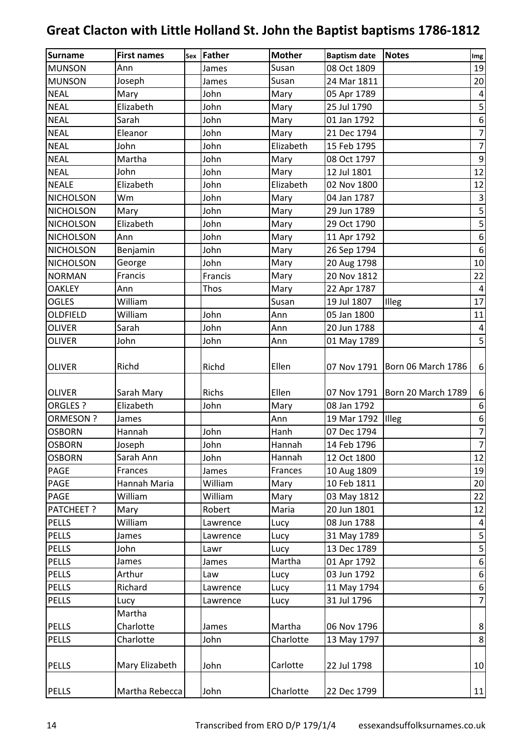| <b>Surname</b>   | <b>First names</b> | Sex | <b>Father</b> | <b>Mother</b> | <b>Baptism date</b> | <b>Notes</b>                     | Img              |
|------------------|--------------------|-----|---------------|---------------|---------------------|----------------------------------|------------------|
| <b>MUNSON</b>    | Ann                |     | James         | Susan         | 08 Oct 1809         |                                  | 19               |
| <b>MUNSON</b>    | Joseph             |     | James         | Susan         | 24 Mar 1811         |                                  | 20               |
| <b>NEAL</b>      | Mary               |     | John          | Mary          | 05 Apr 1789         |                                  | $\overline{4}$   |
| <b>NEAL</b>      | Elizabeth          |     | John          | Mary          | 25 Jul 1790         |                                  | 5                |
| <b>NEAL</b>      | Sarah              |     | John          | Mary          | 01 Jan 1792         |                                  | $\boldsymbol{6}$ |
| <b>NEAL</b>      | Eleanor            |     | John          | Mary          | 21 Dec 1794         |                                  | $\overline{7}$   |
| <b>NEAL</b>      | John               |     | John          | Elizabeth     | 15 Feb 1795         |                                  | $\overline{7}$   |
| <b>NEAL</b>      | Martha             |     | John          | Mary          | 08 Oct 1797         |                                  | 9                |
| <b>NEAL</b>      | John               |     | John          | Mary          | 12 Jul 1801         |                                  | 12               |
| <b>NEALE</b>     | Elizabeth          |     | John          | Elizabeth     | 02 Nov 1800         |                                  | 12               |
| <b>NICHOLSON</b> | Wm                 |     | John          | Mary          | 04 Jan 1787         |                                  | $\mathbf{3}$     |
| <b>NICHOLSON</b> | Mary               |     | John          | Mary          | 29 Jun 1789         |                                  | 5                |
| <b>NICHOLSON</b> | Elizabeth          |     | John          | Mary          | 29 Oct 1790         |                                  | 5                |
| <b>NICHOLSON</b> | Ann                |     | John          | Mary          | 11 Apr 1792         |                                  | $\boldsymbol{6}$ |
| <b>NICHOLSON</b> | Benjamin           |     | John          | Mary          | 26 Sep 1794         |                                  | $\boldsymbol{6}$ |
| <b>NICHOLSON</b> | George             |     | John          | Mary          | 20 Aug 1798         |                                  | 10               |
| <b>NORMAN</b>    | Francis            |     | Francis       | Mary          | 20 Nov 1812         |                                  | 22               |
| <b>OAKLEY</b>    | Ann                |     | Thos          | Mary          | 22 Apr 1787         |                                  | $\overline{4}$   |
| <b>OGLES</b>     | William            |     |               | Susan         | 19 Jul 1807         | Illeg                            | 17               |
| <b>OLDFIELD</b>  | William            |     | John          | Ann           | 05 Jan 1800         |                                  | 11               |
| <b>OLIVER</b>    | Sarah              |     | John          | Ann           | 20 Jun 1788         |                                  | $\overline{4}$   |
| <b>OLIVER</b>    | John               |     | John          | Ann           | 01 May 1789         |                                  | 5                |
| <b>OLIVER</b>    | Richd              |     | Richd         | Ellen         | 07 Nov 1791         | Born 06 March 1786               | $\boldsymbol{6}$ |
| <b>OLIVER</b>    | Sarah Mary         |     | Richs         | Ellen         |                     | 07 Nov 1791   Born 20 March 1789 | 6                |
| ORGLES ?         | Elizabeth          |     | John          | Mary          | 08 Jan 1792         |                                  | 6                |
| ORMESON ?        | James              |     |               | Ann           | 19 Mar 1792         | Illeg                            | $\boldsymbol{6}$ |
| <b>OSBORN</b>    | Hannah             |     | John          | Hanh          | 07 Dec 1794         |                                  | $\overline{7}$   |
| <b>OSBORN</b>    | Joseph             |     | John          | Hannah        | 14 Feb 1796         |                                  | $\overline{7}$   |
| <b>OSBORN</b>    | Sarah Ann          |     | John          | Hannah        | 12 Oct 1800         |                                  | 12               |
| <b>PAGE</b>      | Frances            |     | James         | Frances       | 10 Aug 1809         |                                  | 19               |
| PAGE             | Hannah Maria       |     | William       | Mary          | 10 Feb 1811         |                                  | 20               |
| PAGE             | William            |     | William       | Mary          | 03 May 1812         |                                  | 22               |
| PATCHEET ?       | Mary               |     | Robert        | Maria         | 20 Jun 1801         |                                  | 12               |
| <b>PELLS</b>     | William            |     | Lawrence      | Lucy          | 08 Jun 1788         |                                  | $\overline{4}$   |
| <b>PELLS</b>     | James              |     | Lawrence      | Lucy          | 31 May 1789         |                                  | 5                |
| <b>PELLS</b>     | John               |     | Lawr          | Lucy          | 13 Dec 1789         |                                  | $\mathsf S$      |
| <b>PELLS</b>     | James              |     | James         | Martha        | 01 Apr 1792         |                                  | $\boldsymbol{6}$ |
| <b>PELLS</b>     | Arthur             |     | Law           | Lucy          | 03 Jun 1792         |                                  | $\boldsymbol{6}$ |
| <b>PELLS</b>     | Richard            |     | Lawrence      | Lucy          | 11 May 1794         |                                  | $\boldsymbol{6}$ |
| <b>PELLS</b>     | Lucy               |     | Lawrence      | Lucy          | 31 Jul 1796         |                                  | $\overline{7}$   |
|                  | Martha             |     |               |               |                     |                                  |                  |
| <b>PELLS</b>     | Charlotte          |     | James         | Martha        | 06 Nov 1796         |                                  | 8                |
| <b>PELLS</b>     | Charlotte          |     | John          | Charlotte     | 13 May 1797         |                                  | 8                |
| <b>PELLS</b>     | Mary Elizabeth     |     | John          | Carlotte      | 22 Jul 1798         |                                  | 10               |
| <b>PELLS</b>     | Martha Rebecca     |     | John          | Charlotte     | 22 Dec 1799         |                                  | $11\,$           |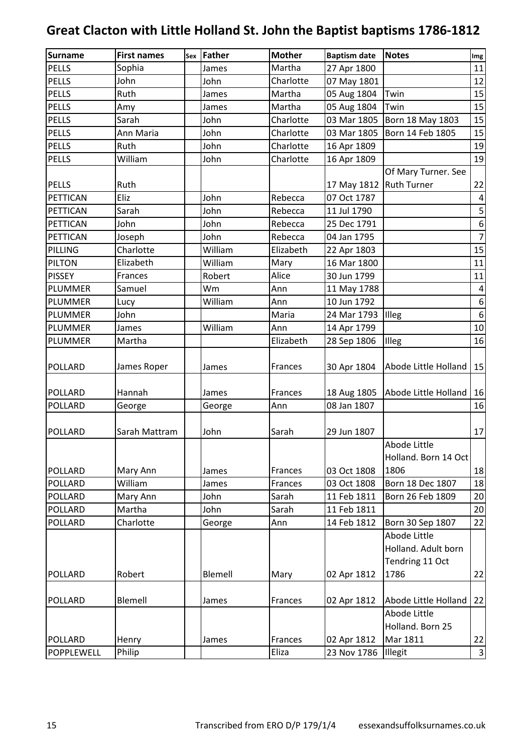| <b>Surname</b>    | <b>First names</b> | Sex | <b>Father</b> | <b>Mother</b> | <b>Baptism date</b> | <b>Notes</b>                                                   | Img              |
|-------------------|--------------------|-----|---------------|---------------|---------------------|----------------------------------------------------------------|------------------|
| <b>PELLS</b>      | Sophia             |     | James         | Martha        | 27 Apr 1800         |                                                                | 11               |
| <b>PELLS</b>      | John               |     | John          | Charlotte     | 07 May 1801         |                                                                | 12               |
| <b>PELLS</b>      | Ruth               |     | James         | Martha        | 05 Aug 1804         | Twin                                                           | 15               |
| <b>PELLS</b>      | Amy                |     | James         | Martha        | 05 Aug 1804         | Twin                                                           | 15               |
| <b>PELLS</b>      | Sarah              |     | John          | Charlotte     | 03 Mar 1805         | Born 18 May 1803                                               | 15               |
| <b>PELLS</b>      | Ann Maria          |     | John          | Charlotte     | 03 Mar 1805         | Born 14 Feb 1805                                               | 15               |
| <b>PELLS</b>      | Ruth               |     | John          | Charlotte     | 16 Apr 1809         |                                                                | 19               |
| PELLS             | William            |     | John          | Charlotte     | 16 Apr 1809         |                                                                | 19               |
|                   |                    |     |               |               |                     | Of Mary Turner. See                                            |                  |
| PELLS             | Ruth               |     |               |               | 17 May 1812         | <b>Ruth Turner</b>                                             | 22               |
| <b>PETTICAN</b>   | Eliz               |     | John          | Rebecca       | 07 Oct 1787         |                                                                | $\overline{4}$   |
| PETTICAN          | Sarah              |     | John          | Rebecca       | 11 Jul 1790         |                                                                | 5                |
| <b>PETTICAN</b>   | John               |     | John          | Rebecca       | 25 Dec 1791         |                                                                | $\boldsymbol{6}$ |
| PETTICAN          | Joseph             |     | John          | Rebecca       | 04 Jan 1795         |                                                                | $\overline{7}$   |
| PILLING           | Charlotte          |     | William       | Elizabeth     | 22 Apr 1803         |                                                                | 15               |
| <b>PILTON</b>     | Elizabeth          |     | William       | Mary          | 16 Mar 1800         |                                                                | 11               |
| <b>PISSEY</b>     | Frances            |     | Robert        | Alice         | 30 Jun 1799         |                                                                | 11               |
| PLUMMER           | Samuel             |     | Wm            | Ann           | 11 May 1788         |                                                                | $\overline{4}$   |
| PLUMMER           | Lucy               |     | William       | Ann           | 10 Jun 1792         |                                                                | $\boldsymbol{6}$ |
| PLUMMER           | John               |     |               | Maria         | 24 Mar 1793         | Illeg                                                          | $\boldsymbol{6}$ |
| PLUMMER           | James              |     | William       | Ann           | 14 Apr 1799         |                                                                | 10               |
| PLUMMER           | Martha             |     |               | Elizabeth     | 28 Sep 1806         | Illeg                                                          | 16               |
| POLLARD           | James Roper        |     | James         | Frances       | 30 Apr 1804         | Abode Little Holland                                           | 15               |
| POLLARD           | Hannah             |     | James         | Frances       | 18 Aug 1805         | Abode Little Holland                                           | 16               |
| <b>POLLARD</b>    | George             |     | George        | Ann           | 08 Jan 1807         |                                                                | 16               |
|                   |                    |     |               |               |                     |                                                                |                  |
| POLLARD           | Sarah Mattram      |     | John          | Sarah         | 29 Jun 1807         |                                                                | 17               |
| POLLARD           | Mary Ann           |     | James         | Frances       | 03 Oct 1808         | Abode Little<br>Holland. Born 14 Oct<br>1806                   | 18               |
| POLLARD           | William            |     | James         | Frances       | 03 Oct 1808         | Born 18 Dec 1807                                               | 18               |
| POLLARD           | Mary Ann           |     | John          | Sarah         | 11 Feb 1811         | Born 26 Feb 1809                                               | 20               |
| POLLARD           | Martha             |     | John          | Sarah         | 11 Feb 1811         |                                                                | 20               |
| POLLARD           | Charlotte          |     | George        | Ann           | 14 Feb 1812         | Born 30 Sep 1807                                               | 22               |
| POLLARD           | Robert             |     | Blemell       | Mary          | 02 Apr 1812         | Abode Little<br>Holland. Adult born<br>Tendring 11 Oct<br>1786 | 22               |
|                   |                    |     |               |               |                     |                                                                |                  |
| POLLARD           | Blemell            |     | James         | Frances       | 02 Apr 1812         | Abode Little Holland                                           | 22               |
| <b>POLLARD</b>    | Henry              |     | James         | Frances       | 02 Apr 1812         | Abode Little<br>Holland. Born 25<br>Mar 1811                   | 22               |
| <b>POPPLEWELL</b> | Philip             |     |               | Eliza         | 23 Nov 1786         | Illegit                                                        | $\vert$ 3        |
|                   |                    |     |               |               |                     |                                                                |                  |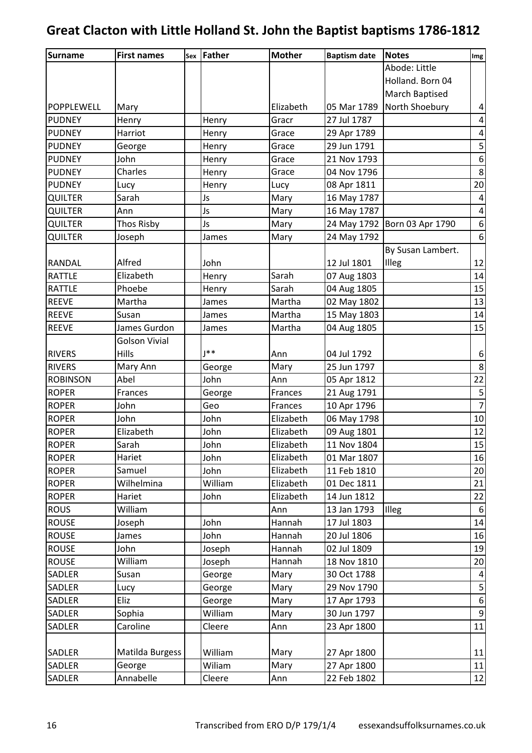| <b>Surname</b>    | <b>First names</b>   | sex Father | <b>Mother</b> | <b>Baptism date</b> | <b>Notes</b>      | Img              |
|-------------------|----------------------|------------|---------------|---------------------|-------------------|------------------|
|                   |                      |            |               |                     | Abode: Little     |                  |
|                   |                      |            |               |                     | Holland. Born 04  |                  |
|                   |                      |            |               |                     | March Baptised    |                  |
| <b>POPPLEWELL</b> | Mary                 |            | Elizabeth     | 05 Mar 1789         | North Shoebury    | 4                |
| <b>PUDNEY</b>     | Henry                | Henry      | Gracr         | 27 Jul 1787         |                   | $\pmb{4}$        |
| <b>PUDNEY</b>     | Harriot              | Henry      | Grace         | 29 Apr 1789         |                   | 4                |
| <b>PUDNEY</b>     | George               | Henry      | Grace         | 29 Jun 1791         |                   | 5                |
| <b>PUDNEY</b>     | John                 | Henry      | Grace         | 21 Nov 1793         |                   | 6                |
| <b>PUDNEY</b>     | Charles              | Henry      | Grace         | 04 Nov 1796         |                   | 8                |
| <b>PUDNEY</b>     | Lucy                 | Henry      | Lucy          | 08 Apr 1811         |                   | 20               |
| <b>QUILTER</b>    | Sarah                | Js         | Mary          | 16 May 1787         |                   | $\overline{4}$   |
| <b>QUILTER</b>    | Ann                  | Js         | Mary          | 16 May 1787         |                   | $\overline{4}$   |
| <b>QUILTER</b>    | Thos Risby           | Js         | Mary          | 24 May 1792         | Born 03 Apr 1790  | $\boldsymbol{6}$ |
| <b>QUILTER</b>    | Joseph               | James      | Mary          | 24 May 1792         |                   | $\boldsymbol{6}$ |
|                   |                      |            |               |                     | By Susan Lambert. |                  |
| <b>RANDAL</b>     | Alfred               | John       |               | 12 Jul 1801         | Illeg             | 12               |
| <b>RATTLE</b>     | Elizabeth            | Henry      | Sarah         | 07 Aug 1803         |                   | 14               |
| <b>RATTLE</b>     | Phoebe               | Henry      | Sarah         | 04 Aug 1805         |                   | 15               |
| <b>REEVE</b>      | Martha               | James      | Martha        | 02 May 1802         |                   | 13               |
| <b>REEVE</b>      | Susan                | James      | Martha        | 15 May 1803         |                   | 14               |
| <b>REEVE</b>      | James Gurdon         | James      | Martha        | 04 Aug 1805         |                   | 15               |
|                   | <b>Golson Vivial</b> |            |               |                     |                   |                  |
| <b>RIVERS</b>     | Hills                | $1**$      | Ann           | 04 Jul 1792         |                   | 6                |
| <b>RIVERS</b>     | Mary Ann             | George     | Mary          | 25 Jun 1797         |                   | $\,8\,$          |
| <b>ROBINSON</b>   | Abel                 | John       | Ann           | 05 Apr 1812         |                   | 22               |
| <b>ROPER</b>      | Frances              | George     | Frances       | 21 Aug 1791         |                   | 5                |
| <b>ROPER</b>      | John                 | Geo        | Frances       | 10 Apr 1796         |                   | $\overline{7}$   |
| <b>ROPER</b>      | John                 | John       | Elizabeth     | 06 May 1798         |                   | 10               |
| <b>ROPER</b>      | Elizabeth            | John       | Elizabeth     | 09 Aug 1801         |                   | 12               |
| <b>ROPER</b>      | Sarah                | John       | Elizabeth     | 11 Nov 1804         |                   | 15               |
| <b>ROPER</b>      | Hariet               | John       | Elizabeth     | 01 Mar 1807         |                   | 16               |
| <b>ROPER</b>      | Samuel               | John       | Elizabeth     | 11 Feb 1810         |                   | 20               |
| <b>ROPER</b>      | Wilhelmina           | William    | Elizabeth     | 01 Dec 1811         |                   | 21               |
| <b>ROPER</b>      | Hariet               | John       | Elizabeth     | 14 Jun 1812         |                   | 22               |
| <b>ROUS</b>       | William              |            | Ann           | 13 Jan 1793         | <b>Illeg</b>      | 6                |
| <b>ROUSE</b>      | Joseph               | John       | Hannah        | 17 Jul 1803         |                   | 14               |
| <b>ROUSE</b>      | James                | John       | Hannah        | 20 Jul 1806         |                   | 16               |
| <b>ROUSE</b>      | John                 | Joseph     | Hannah        | 02 Jul 1809         |                   | 19               |
| <b>ROUSE</b>      | William              | Joseph     | Hannah        | 18 Nov 1810         |                   | 20               |
| SADLER            | Susan                | George     | Mary          | 30 Oct 1788         |                   | $\overline{a}$   |
| SADLER            | Lucy                 | George     | Mary          | 29 Nov 1790         |                   | $\overline{5}$   |
| SADLER            | Eliz                 | George     | Mary          | 17 Apr 1793         |                   | 6                |
| SADLER            | Sophia               | William    | Mary          | 30 Jun 1797         |                   | $\boldsymbol{9}$ |
| SADLER            | Caroline             | Cleere     | Ann           | 23 Apr 1800         |                   | 11               |
|                   | Matilda Burgess      | William    | Mary          |                     |                   |                  |
| SADLER<br>SADLER  | George               | Wiliam     | Mary          | 27 Apr 1800         |                   | 11<br>11         |
| SADLER            | Annabelle            |            |               | 27 Apr 1800         |                   | 12               |
|                   |                      | Cleere     | Ann           | 22 Feb 1802         |                   |                  |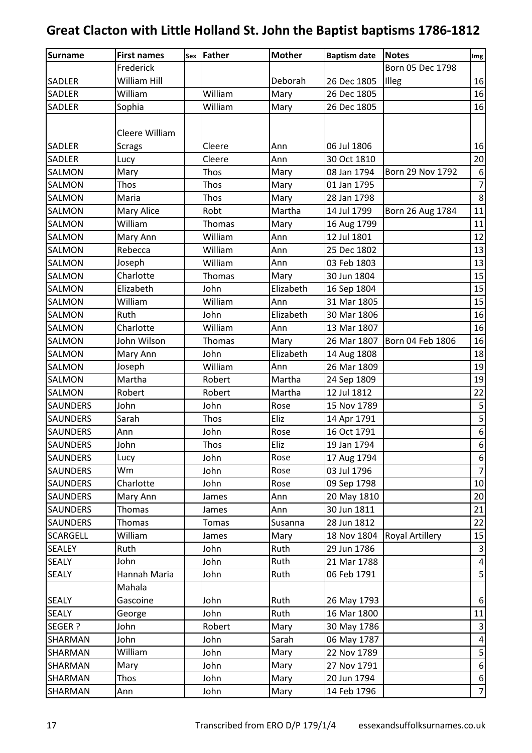| Surname         | <b>First names</b> | sex Father    | <b>Mother</b> | <b>Baptism date</b> | <b>Notes</b>           | Img                     |
|-----------------|--------------------|---------------|---------------|---------------------|------------------------|-------------------------|
|                 | Frederick          |               |               |                     | Born 05 Dec 1798       |                         |
| <b>SADLER</b>   | William Hill       |               | Deborah       | 26 Dec 1805         | Illeg                  | 16                      |
| <b>SADLER</b>   | William            | William       | Mary          | 26 Dec 1805         |                        | 16                      |
| SADLER          | Sophia             | William       | Mary          | 26 Dec 1805         |                        | 16                      |
|                 |                    |               |               |                     |                        |                         |
|                 | Cleere William     |               |               |                     |                        |                         |
| <b>SADLER</b>   | <b>Scrags</b>      | Cleere        | Ann           | 06 Jul 1806         |                        | 16                      |
| <b>SADLER</b>   | Lucy               | Cleere        | Ann           | 30 Oct 1810         |                        | 20                      |
| SALMON          | Mary               | Thos          | Mary          | 08 Jan 1794         | Born 29 Nov 1792       | 6                       |
| <b>SALMON</b>   | Thos               | Thos          | Mary          | 01 Jan 1795         |                        | $\overline{7}$          |
| SALMON          | Maria              | Thos          | Mary          | 28 Jan 1798         |                        | $\,8\,$                 |
| <b>SALMON</b>   | Mary Alice         | Robt          | Martha        | 14 Jul 1799         | Born 26 Aug 1784       | 11                      |
| SALMON          | William            | <b>Thomas</b> | Mary          | 16 Aug 1799         |                        | 11                      |
| SALMON          | Mary Ann           | William       | Ann           | 12 Jul 1801         |                        | 12                      |
| SALMON          | Rebecca            | William       | Ann           | 25 Dec 1802         |                        | 13                      |
| SALMON          | Joseph             | William       | Ann           | 03 Feb 1803         |                        | 13                      |
| <b>SALMON</b>   | Charlotte          | Thomas        | Mary          | 30 Jun 1804         |                        | 15                      |
| SALMON          | Elizabeth          | John          | Elizabeth     | 16 Sep 1804         |                        | 15                      |
| <b>SALMON</b>   | William            | William       | Ann           | 31 Mar 1805         |                        | 15                      |
| SALMON          | Ruth               | John          | Elizabeth     | 30 Mar 1806         |                        | 16                      |
| SALMON          | Charlotte          | William       | Ann           | 13 Mar 1807         |                        | 16                      |
| SALMON          | John Wilson        | <b>Thomas</b> | Mary          | 26 Mar 1807         | Born 04 Feb 1806       | 16                      |
| SALMON          | Mary Ann           | John          | Elizabeth     | 14 Aug 1808         |                        | 18                      |
| SALMON          | Joseph             | William       | Ann           | 26 Mar 1809         |                        | 19                      |
| SALMON          | Martha             | Robert        | Martha        | 24 Sep 1809         |                        | 19                      |
| SALMON          | Robert             | Robert        | Martha        | 12 Jul 1812         |                        | 22                      |
| <b>SAUNDERS</b> | John               | John          | Rose          | 15 Nov 1789         |                        | $\overline{5}$          |
| <b>SAUNDERS</b> | Sarah              | Thos          | Eliz          | 14 Apr 1791         |                        | 5                       |
| <b>SAUNDERS</b> | Ann                | John          | Rose          | 16 Oct 1791         |                        | $\boldsymbol{6}$        |
| <b>SAUNDERS</b> | John               | Thos          | Eliz          | 19 Jan 1794         |                        | 6 <sup>1</sup>          |
| <b>SAUNDERS</b> | Lucy               | John          | Rose          | 17 Aug 1794         |                        | $\boldsymbol{6}$        |
| <b>SAUNDERS</b> | Wm                 | John          | Rose          | 03 Jul 1796         |                        | $\overline{7}$          |
| <b>SAUNDERS</b> | Charlotte          | John          | Rose          | 09 Sep 1798         |                        | 10                      |
| <b>SAUNDERS</b> | Mary Ann           | James         | Ann           | 20 May 1810         |                        | 20                      |
| <b>SAUNDERS</b> | <b>Thomas</b>      | James         | Ann           | 30 Jun 1811         |                        | 21                      |
| <b>SAUNDERS</b> | Thomas             | <b>Tomas</b>  | Susanna       | 28 Jun 1812         |                        | 22                      |
| <b>SCARGELL</b> | William            | James         | Mary          | 18 Nov 1804         | <b>Royal Artillery</b> | 15                      |
| <b>SEALEY</b>   | Ruth               | John          | Ruth          | 29 Jun 1786         |                        | $\mathsf{3}$            |
| <b>SEALY</b>    | John               | John          | Ruth          | 21 Mar 1788         |                        | $\overline{\mathbf{r}}$ |
| <b>SEALY</b>    | Hannah Maria       | John          | Ruth          | 06 Feb 1791         |                        | $\overline{5}$          |
|                 | Mahala             |               |               |                     |                        |                         |
| <b>SEALY</b>    | Gascoine           | John          | Ruth          | 26 May 1793         |                        | $\boldsymbol{6}$        |
| <b>SEALY</b>    | George             | John          | Ruth          | 16 Mar 1800         |                        | 11                      |
| SEGER ?         | John               | Robert        | Mary          | 30 May 1786         |                        | 3                       |
| <b>SHARMAN</b>  | John               | John          | Sarah         | 06 May 1787         |                        | $\overline{4}$          |
| SHARMAN         | William            | John          | Mary          | 22 Nov 1789         |                        | $\mathsf S$             |
| SHARMAN         | Mary               | John          | Mary          | 27 Nov 1791         |                        | 6                       |
| SHARMAN         | Thos               | John          | Mary          | 20 Jun 1794         |                        | $6 \mid$                |
| SHARMAN         | Ann                | John          | Mary          | 14 Feb 1796         |                        | $\overline{7}$          |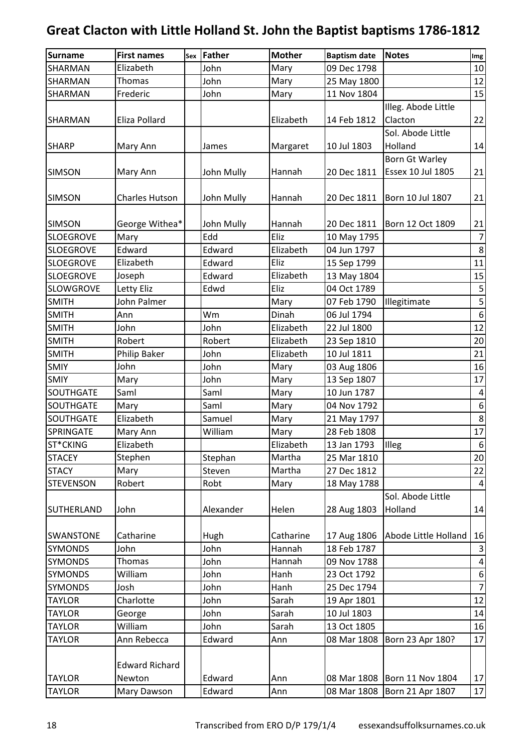| <b>Surname</b>    | <b>First names</b>    | Sex | <b>Father</b> | <b>Mother</b> | <b>Baptism date</b> | <b>Notes</b>                   | Img              |
|-------------------|-----------------------|-----|---------------|---------------|---------------------|--------------------------------|------------------|
| SHARMAN           | Elizabeth             |     | John          | Mary          | 09 Dec 1798         |                                | 10               |
| SHARMAN           | <b>Thomas</b>         |     | John          | Mary          | 25 May 1800         |                                | 12               |
| SHARMAN           | Frederic              |     | John          | Mary          | 11 Nov 1804         |                                | 15               |
|                   |                       |     |               |               |                     | Illeg. Abode Little            |                  |
| SHARMAN           | Eliza Pollard         |     |               | Elizabeth     | 14 Feb 1812         | Clacton                        | 22               |
|                   |                       |     |               |               |                     | Sol. Abode Little              |                  |
| <b>SHARP</b>      | Mary Ann              |     | James         | Margaret      | 10 Jul 1803         | Holland                        | 14               |
|                   |                       |     |               |               |                     | Born Gt Warley                 |                  |
| <b>SIMSON</b>     | Mary Ann              |     | John Mully    | Hannah        | 20 Dec 1811         | Essex 10 Jul 1805              | 21               |
|                   |                       |     |               |               |                     |                                |                  |
| <b>SIMSON</b>     | <b>Charles Hutson</b> |     | John Mully    | Hannah        | 20 Dec 1811         | Born 10 Jul 1807               | 21               |
|                   |                       |     |               |               |                     |                                |                  |
| <b>SIMSON</b>     | George Withea*        |     | John Mully    | Hannah        | 20 Dec 1811         | Born 12 Oct 1809               | 21               |
| <b>SLOEGROVE</b>  | Mary                  |     | Edd           | Eliz          | 10 May 1795         |                                | $\overline{7}$   |
| <b>SLOEGROVE</b>  | Edward                |     | Edward        | Elizabeth     | 04 Jun 1797         |                                | $\bf 8$          |
| <b>SLOEGROVE</b>  | Elizabeth             |     | Edward        | Eliz          | 15 Sep 1799         |                                | 11               |
| <b>SLOEGROVE</b>  | Joseph                |     | Edward        | Elizabeth     | 13 May 1804         |                                | 15               |
| <b>SLOWGROVE</b>  | Letty Eliz            |     | Edwd          | Eliz          | 04 Oct 1789         |                                | 5                |
| <b>SMITH</b>      | John Palmer           |     |               | Mary          | 07 Feb 1790         | Illegitimate                   | 5                |
| <b>SMITH</b>      | Ann                   |     | Wm            | Dinah         | 06 Jul 1794         |                                | $\boldsymbol{6}$ |
| <b>SMITH</b>      | John                  |     | John          | Elizabeth     | 22 Jul 1800         |                                | 12               |
| <b>SMITH</b>      | Robert                |     | Robert        | Elizabeth     | 23 Sep 1810         |                                | 20               |
| <b>SMITH</b>      | Philip Baker          |     | John          | Elizabeth     | 10 Jul 1811         |                                | 21               |
| <b>SMIY</b>       | John                  |     | John          | Mary          | 03 Aug 1806         |                                | 16               |
| <b>SMIY</b>       | Mary                  |     | John          | Mary          | 13 Sep 1807         |                                | 17               |
| SOUTHGATE         | Saml                  |     | Saml          | Mary          | 10 Jun 1787         |                                | $\overline{4}$   |
| <b>SOUTHGATE</b>  | Mary                  |     | Saml          | Mary          | 04 Nov 1792         |                                | $\boldsymbol{6}$ |
| SOUTHGATE         | Elizabeth             |     | Samuel        | Mary          | 21 May 1797         |                                | $\bf 8$          |
| SPRINGATE         | Mary Ann              |     | William       | Mary          | 28 Feb 1808         |                                | 17               |
| ST*CKING          | Elizabeth             |     |               | Elizabeth     | 13 Jan 1793         | IIIeg                          | 6                |
| <b>STACEY</b>     | Stephen               |     | Stephan       | Martha        | 25 Mar 1810         |                                | 20               |
| <b>STACY</b>      | Mary                  |     | Steven        | Martha        | 27 Dec 1812         |                                | 22               |
| <b>STEVENSON</b>  | Robert                |     | Robt          | Mary          | 18 May 1788         |                                | $\overline{4}$   |
|                   |                       |     |               |               |                     | Sol. Abode Little              |                  |
| <b>SUTHERLAND</b> | John                  |     | Alexander     | Helen         | 28 Aug 1803         | Holland                        | 14               |
|                   |                       |     |               |               |                     |                                |                  |
| SWANSTONE         | Catharine             |     | Hugh          | Catharine     | 17 Aug 1806         | Abode Little Holland           | 16               |
| <b>SYMONDS</b>    | John                  |     | John          | Hannah        | 18 Feb 1787         |                                | $\mathbf{3}$     |
| <b>SYMONDS</b>    | <b>Thomas</b>         |     | John          | Hannah        | 09 Nov 1788         |                                | 4                |
| SYMONDS           | William               |     | John          | Hanh          | 23 Oct 1792         |                                | $\boldsymbol{6}$ |
| SYMONDS           | Josh                  |     | John          | Hanh          | 25 Dec 1794         |                                | $\overline{7}$   |
| <b>TAYLOR</b>     | Charlotte             |     | John          | Sarah         | 19 Apr 1801         |                                | 12               |
| <b>TAYLOR</b>     | George                |     | John          | Sarah         | 10 Jul 1803         |                                | $14\,$           |
| <b>TAYLOR</b>     | William               |     | John          | Sarah         | 13 Oct 1805         |                                | 16               |
| <b>TAYLOR</b>     | Ann Rebecca           |     | Edward        | Ann           | 08 Mar 1808         | Born 23 Apr 180?               | 17               |
|                   |                       |     |               |               |                     |                                |                  |
|                   | <b>Edward Richard</b> |     |               |               |                     |                                |                  |
| <b>TAYLOR</b>     | Newton                |     | Edward        | Ann           | 08 Mar 1808         | Born 11 Nov 1804               | 17               |
| <b>TAYLOR</b>     | Mary Dawson           |     | Edward        | Ann           |                     | 08 Mar 1808   Born 21 Apr 1807 | 17               |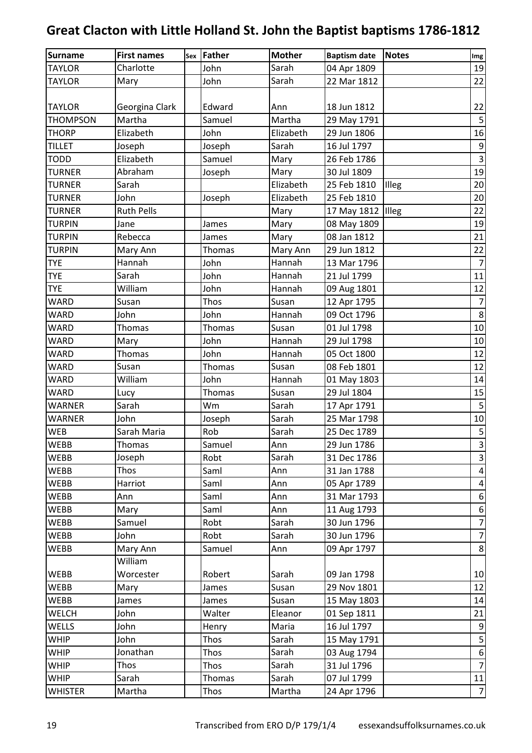| <b>Surname</b>  | <b>First names</b> | Sex | <b>Father</b> | <b>Mother</b> | <b>Baptism date</b> | <b>Notes</b> | Img                     |
|-----------------|--------------------|-----|---------------|---------------|---------------------|--------------|-------------------------|
| <b>TAYLOR</b>   | Charlotte          |     | John          | Sarah         | 04 Apr 1809         |              | 19                      |
| <b>TAYLOR</b>   | Mary               |     | John          | Sarah         | 22 Mar 1812         |              | 22                      |
|                 |                    |     |               |               |                     |              |                         |
| <b>TAYLOR</b>   | Georgina Clark     |     | Edward        | Ann           | 18 Jun 1812         |              | 22                      |
| <b>THOMPSON</b> | Martha             |     | Samuel        | Martha        | 29 May 1791         |              | 5                       |
| <b>THORP</b>    | Elizabeth          |     | John          | Elizabeth     | 29 Jun 1806         |              | 16                      |
| <b>TILLET</b>   | Joseph             |     | Joseph        | Sarah         | 16 Jul 1797         |              | $\boldsymbol{9}$        |
| <b>TODD</b>     | Elizabeth          |     | Samuel        | Mary          | 26 Feb 1786         |              | $\overline{\mathbf{3}}$ |
| <b>TURNER</b>   | Abraham            |     | Joseph        | Mary          | 30 Jul 1809         |              | 19                      |
| <b>TURNER</b>   | Sarah              |     |               | Elizabeth     | 25 Feb 1810         | Illeg        | 20                      |
| <b>TURNER</b>   | John               |     | Joseph        | Elizabeth     | 25 Feb 1810         |              | 20                      |
| <b>TURNER</b>   | <b>Ruth Pells</b>  |     |               | Mary          | 17 May 1812 Illeg   |              | 22                      |
| <b>TURPIN</b>   | Jane               |     | James         | Mary          | 08 May 1809         |              | 19                      |
| <b>TURPIN</b>   | Rebecca            |     | James         | Mary          | 08 Jan 1812         |              | 21                      |
| <b>TURPIN</b>   | Mary Ann           |     | <b>Thomas</b> | Mary Ann      | 29 Jun 1812         |              | 22                      |
| <b>TYE</b>      | Hannah             |     | John          | Hannah        | 13 Mar 1796         |              | $\overline{7}$          |
| <b>TYE</b>      | Sarah              |     | John          | Hannah        | 21 Jul 1799         |              | $11\,$                  |
| <b>TYE</b>      | William            |     | John          | Hannah        | 09 Aug 1801         |              | 12                      |
| WARD            | Susan              |     | Thos          | Susan         | 12 Apr 1795         |              | $\overline{7}$          |
| WARD            | John               |     | John          | Hannah        | 09 Oct 1796         |              | $\,8\,$                 |
| WARD            | Thomas             |     | <b>Thomas</b> | Susan         | 01 Jul 1798         |              | $10\,$                  |
| WARD            | Mary               |     | John          | Hannah        | 29 Jul 1798         |              | $10\,$                  |
| WARD            | Thomas             |     | John          | Hannah        | 05 Oct 1800         |              | 12                      |
| WARD            | Susan              |     | Thomas        | Susan         | 08 Feb 1801         |              | 12                      |
| WARD            | William            |     | John          | Hannah        | 01 May 1803         |              | 14                      |
| WARD            | Lucy               |     | <b>Thomas</b> | Susan         | 29 Jul 1804         |              | 15                      |
| WARNER          | Sarah              |     | Wm            | Sarah         | 17 Apr 1791         |              | 5                       |
| WARNER          | John               |     | Joseph        | Sarah         | 25 Mar 1798         |              | $10\,$                  |
| WEB             | Sarah Maria        |     | Rob           | Sarah         | 25 Dec 1789         |              | 5                       |
| <b>WEBB</b>     | <b>Thomas</b>      |     | Samuel        | Ann           | 29 Jun 1786         |              | $\overline{3}$          |
| WEBB            | Joseph             |     | Robt          | Sarah         | 31 Dec 1786         |              | $\mathsf 3$             |
| WEBB            | Thos               |     | Saml          | Ann           | 31 Jan 1788         |              | $\overline{4}$          |
| <b>WEBB</b>     | Harriot            |     | Saml          | Ann           | 05 Apr 1789         |              | $\pmb{4}$               |
| WEBB            | Ann                |     | Saml          | Ann           | 31 Mar 1793         |              | $\boldsymbol{6}$        |
| <b>WEBB</b>     | Mary               |     | Saml          | Ann           | 11 Aug 1793         |              | $\boldsymbol{6}$        |
| <b>WEBB</b>     | Samuel             |     | Robt          | Sarah         | 30 Jun 1796         |              | $\overline{\mathbf{7}}$ |
| WEBB            | John               |     | Robt          | Sarah         | 30 Jun 1796         |              | $\overline{7}$          |
| <b>WEBB</b>     | Mary Ann           |     | Samuel        | Ann           | 09 Apr 1797         |              | $\bf 8$                 |
|                 | William            |     |               |               |                     |              |                         |
| WEBB            | Worcester          |     | Robert        | Sarah         | 09 Jan 1798         |              | 10                      |
| WEBB            | Mary               |     | James         | Susan         | 29 Nov 1801         |              | 12                      |
| <b>WEBB</b>     | James              |     | James         | Susan         | 15 May 1803         |              | 14                      |
| <b>WELCH</b>    | John               |     | Walter        | Eleanor       | 01 Sep 1811         |              | 21                      |
| WELLS           | John               |     | Henry         | Maria         | 16 Jul 1797         |              | $\boldsymbol{9}$        |
| <b>WHIP</b>     | John               |     | Thos          | Sarah         | 15 May 1791         |              | 5                       |
| <b>WHIP</b>     | Jonathan           |     | Thos          | Sarah         | 03 Aug 1794         |              | $\boldsymbol{6}$        |
| <b>WHIP</b>     | Thos               |     | Thos          | Sarah         | 31 Jul 1796         |              | $\overline{\mathbf{7}}$ |
| <b>WHIP</b>     | Sarah              |     | Thomas        | Sarah         | 07 Jul 1799         |              | 11                      |
| <b>WHISTER</b>  | Martha             |     | Thos          | Martha        | 24 Apr 1796         |              | $\overline{7}$          |